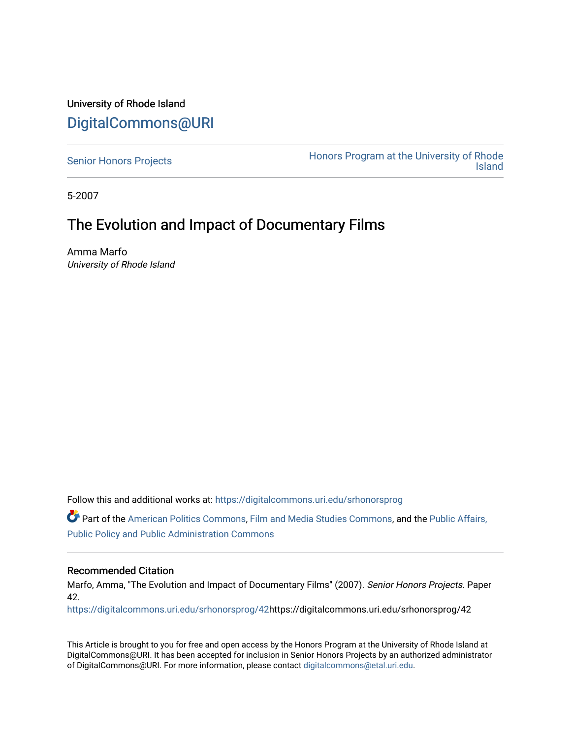# University of Rhode Island [DigitalCommons@URI](https://digitalcommons.uri.edu/)

[Senior Honors Projects](https://digitalcommons.uri.edu/srhonorsprog) **Honors Program at the University of Rhode**<br>Island [Island](https://digitalcommons.uri.edu/honors_prog) 

5-2007

# The Evolution and Impact of Documentary Films

Amma Marfo University of Rhode Island

Follow this and additional works at: [https://digitalcommons.uri.edu/srhonorsprog](https://digitalcommons.uri.edu/srhonorsprog?utm_source=digitalcommons.uri.edu%2Fsrhonorsprog%2F42&utm_medium=PDF&utm_campaign=PDFCoverPages)

Part of the [American Politics Commons,](http://network.bepress.com/hgg/discipline/387?utm_source=digitalcommons.uri.edu%2Fsrhonorsprog%2F42&utm_medium=PDF&utm_campaign=PDFCoverPages) [Film and Media Studies Commons,](http://network.bepress.com/hgg/discipline/563?utm_source=digitalcommons.uri.edu%2Fsrhonorsprog%2F42&utm_medium=PDF&utm_campaign=PDFCoverPages) and the [Public Affairs,](http://network.bepress.com/hgg/discipline/393?utm_source=digitalcommons.uri.edu%2Fsrhonorsprog%2F42&utm_medium=PDF&utm_campaign=PDFCoverPages)  [Public Policy and Public Administration Commons](http://network.bepress.com/hgg/discipline/393?utm_source=digitalcommons.uri.edu%2Fsrhonorsprog%2F42&utm_medium=PDF&utm_campaign=PDFCoverPages)

# Recommended Citation

Marfo, Amma, "The Evolution and Impact of Documentary Films" (2007). Senior Honors Projects. Paper 42.

[https://digitalcommons.uri.edu/srhonorsprog/42h](https://digitalcommons.uri.edu/srhonorsprog/42?utm_source=digitalcommons.uri.edu%2Fsrhonorsprog%2F42&utm_medium=PDF&utm_campaign=PDFCoverPages)ttps://digitalcommons.uri.edu/srhonorsprog/42

This Article is brought to you for free and open access by the Honors Program at the University of Rhode Island at DigitalCommons@URI. It has been accepted for inclusion in Senior Honors Projects by an authorized administrator of DigitalCommons@URI. For more information, please contact [digitalcommons@etal.uri.edu](mailto:digitalcommons@etal.uri.edu).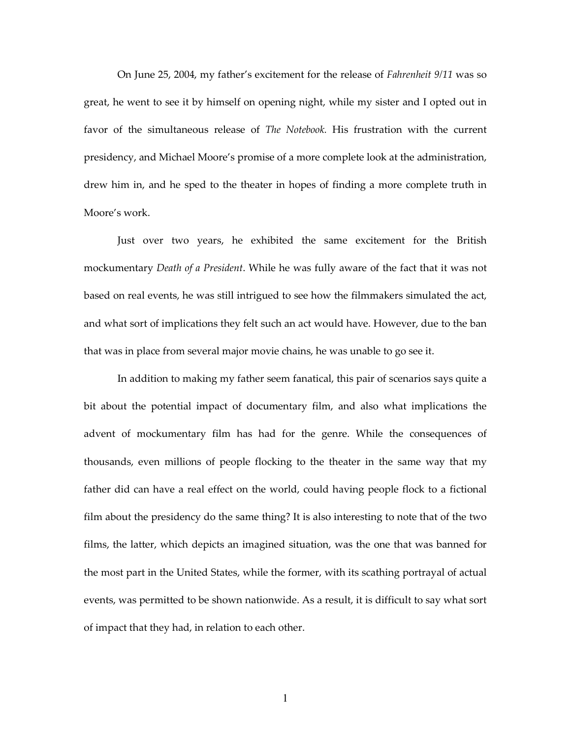On June 25, 2004, my father's excitement for the release of Fahrenheit 9/11 was so great, he went to see it by himself on opening night, while my sister and I opted out in favor of the simultaneous release of *The Notebook*. His frustration with the current presidency, and Michael Moore's promise of a more complete look at the administration, drew him in, and he sped to the theater in hopes of finding a more complete truth in Moore's work.

 Just over two years, he exhibited the same excitement for the British mockumentary *Death of a President*. While he was fully aware of the fact that it was not based on real events, he was still intrigued to see how the filmmakers simulated the act, and what sort of implications they felt such an act would have. However, due to the ban that was in place from several major movie chains, he was unable to go see it.

 In addition to making my father seem fanatical, this pair of scenarios says quite a bit about the potential impact of documentary film, and also what implications the advent of mockumentary film has had for the genre. While the consequences of thousands, even millions of people flocking to the theater in the same way that my father did can have a real effect on the world, could having people flock to a fictional film about the presidency do the same thing? It is also interesting to note that of the two films, the latter, which depicts an imagined situation, was the one that was banned for the most part in the United States, while the former, with its scathing portrayal of actual events, was permitted to be shown nationwide. As a result, it is difficult to say what sort of impact that they had, in relation to each other.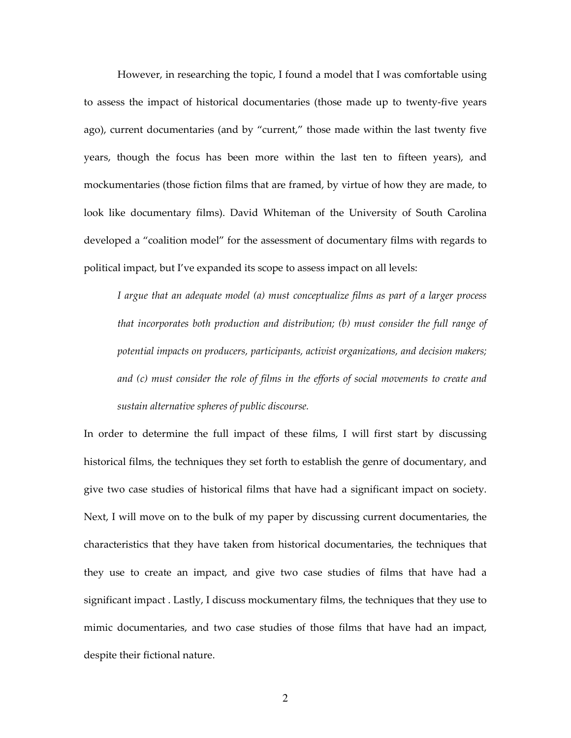However, in researching the topic, I found a model that I was comfortable using to assess the impact of historical documentaries (those made up to twenty-five years ago), current documentaries (and by "current," those made within the last twenty five years, though the focus has been more within the last ten to fifteen years), and mockumentaries (those fiction films that are framed, by virtue of how they are made, to look like documentary films). David Whiteman of the University of South Carolina developed a "coalition model" for the assessment of documentary films with regards to political impact, but I've expanded its scope to assess impact on all levels:

I argue that an adequate model (a) must conceptualize films as part of a larger process that incorporates both production and distribution; (b) must consider the full range of potential impacts on producers, participants, activist organizations, and decision makers; and (c) must consider the role of films in the efforts of social movements to create and sustain alternative spheres of public discourse.

In order to determine the full impact of these films, I will first start by discussing historical films, the techniques they set forth to establish the genre of documentary, and give two case studies of historical films that have had a significant impact on society. Next, I will move on to the bulk of my paper by discussing current documentaries, the characteristics that they have taken from historical documentaries, the techniques that they use to create an impact, and give two case studies of films that have had a significant impact . Lastly, I discuss mockumentary films, the techniques that they use to mimic documentaries, and two case studies of those films that have had an impact, despite their fictional nature.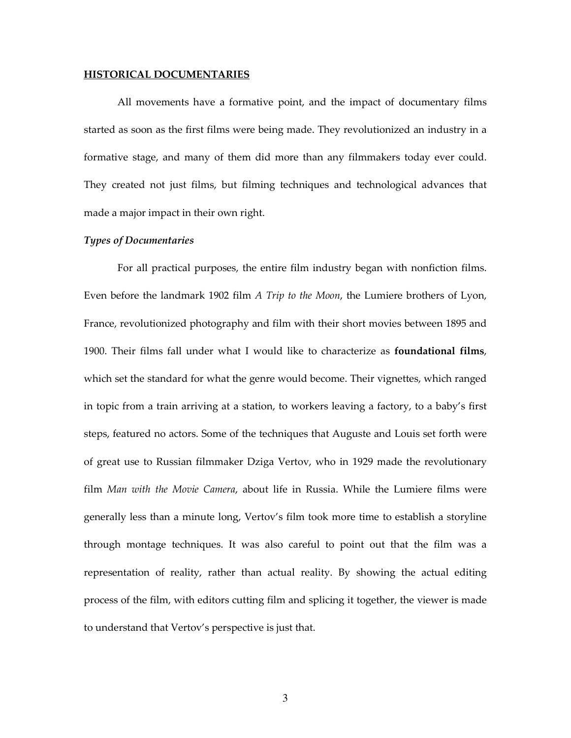#### HISTORICAL DOCUMENTARIES

 All movements have a formative point, and the impact of documentary films started as soon as the first films were being made. They revolutionized an industry in a formative stage, and many of them did more than any filmmakers today ever could. They created not just films, but filming techniques and technological advances that made a major impact in their own right.

# Types of Documentaries

 For all practical purposes, the entire film industry began with nonfiction films. Even before the landmark 1902 film A Trip to the Moon, the Lumiere brothers of Lyon, France, revolutionized photography and film with their short movies between 1895 and 1900. Their films fall under what I would like to characterize as **foundational films**, which set the standard for what the genre would become. Their vignettes, which ranged in topic from a train arriving at a station, to workers leaving a factory, to a baby's first steps, featured no actors. Some of the techniques that Auguste and Louis set forth were of great use to Russian filmmaker Dziga Vertov, who in 1929 made the revolutionary film Man with the Movie Camera, about life in Russia. While the Lumiere films were generally less than a minute long, Vertov's film took more time to establish a storyline through montage techniques. It was also careful to point out that the film was a representation of reality, rather than actual reality. By showing the actual editing process of the film, with editors cutting film and splicing it together, the viewer is made to understand that Vertov's perspective is just that.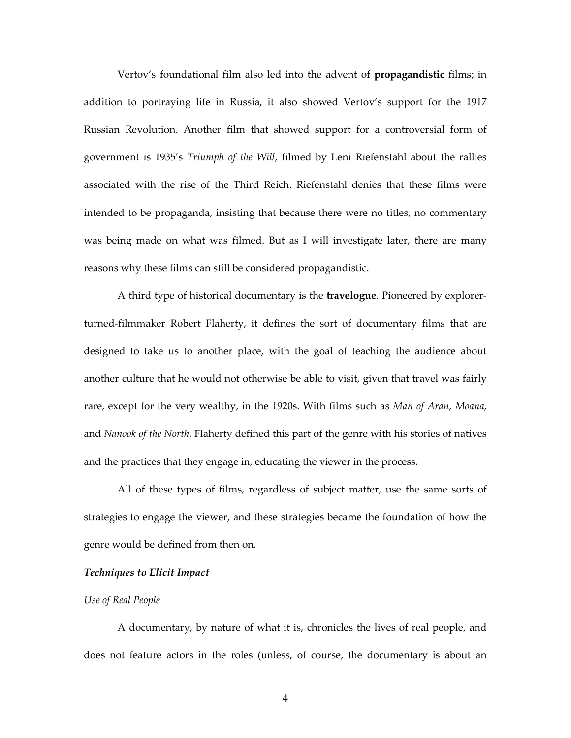Vertov's foundational film also led into the advent of propagandistic films; in addition to portraying life in Russia, it also showed Vertov's support for the 1917 Russian Revolution. Another film that showed support for a controversial form of government is 1935's Triumph of the Will, filmed by Leni Riefenstahl about the rallies associated with the rise of the Third Reich. Riefenstahl denies that these films were intended to be propaganda, insisting that because there were no titles, no commentary was being made on what was filmed. But as I will investigate later, there are many reasons why these films can still be considered propagandistic.

 A third type of historical documentary is the travelogue. Pioneered by explorerturned-filmmaker Robert Flaherty, it defines the sort of documentary films that are designed to take us to another place, with the goal of teaching the audience about another culture that he would not otherwise be able to visit, given that travel was fairly rare, except for the very wealthy, in the 1920s. With films such as Man of Aran, Moana, and Nanook of the North, Flaherty defined this part of the genre with his stories of natives and the practices that they engage in, educating the viewer in the process.

 All of these types of films, regardless of subject matter, use the same sorts of strategies to engage the viewer, and these strategies became the foundation of how the genre would be defined from then on.

## Techniques to Elicit Impact

#### Use of Real People

 A documentary, by nature of what it is, chronicles the lives of real people, and does not feature actors in the roles (unless, of course, the documentary is about an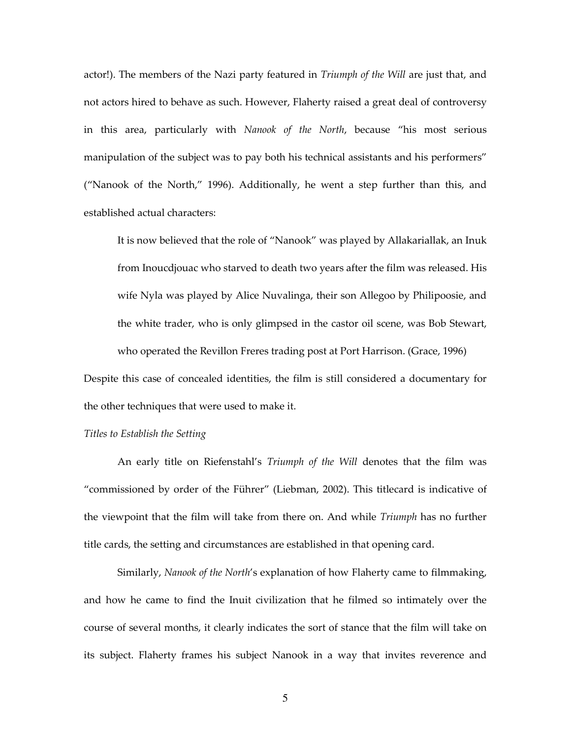actor!). The members of the Nazi party featured in *Triumph of the Will* are just that, and not actors hired to behave as such. However, Flaherty raised a great deal of controversy in this area, particularly with Nanook of the North, because "his most serious manipulation of the subject was to pay both his technical assistants and his performers" ("Nanook of the North," 1996). Additionally, he went a step further than this, and established actual characters:

It is now believed that the role of "Nanook" was played by Allakariallak, an Inuk from Inoucdjouac who starved to death two years after the film was released. His wife Nyla was played by Alice Nuvalinga, their son Allegoo by Philipoosie, and the white trader, who is only glimpsed in the castor oil scene, was Bob Stewart, who operated the Revillon Freres trading post at Port Harrison. (Grace, 1996)

Despite this case of concealed identities, the film is still considered a documentary for the other techniques that were used to make it.

## Titles to Establish the Setting

 An early title on Riefenstahl's Triumph of the Will denotes that the film was "commissioned by order of the Führer" (Liebman, 2002). This titlecard is indicative of the viewpoint that the film will take from there on. And while *Triumph* has no further title cards, the setting and circumstances are established in that opening card.

 Similarly, Nanook of the North's explanation of how Flaherty came to filmmaking, and how he came to find the Inuit civilization that he filmed so intimately over the course of several months, it clearly indicates the sort of stance that the film will take on its subject. Flaherty frames his subject Nanook in a way that invites reverence and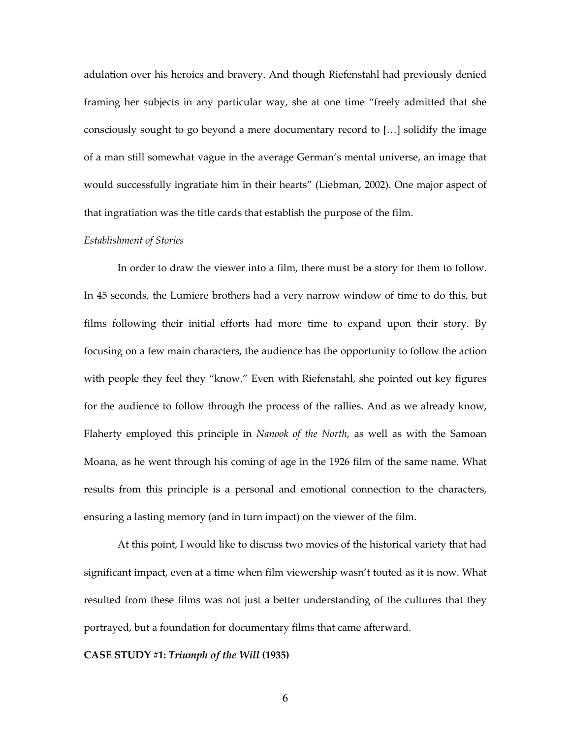adulation over his heroics and bravery. And though Riefenstahl had previously denied framing her subjects in any particular way, she at one time "freely admitted that she consciously sought to go beyond a mere documentary record to […] solidify the image of a man still somewhat vague in the average German's mental universe, an image that would successfully ingratiate him in their hearts" (Liebman, 2002). One major aspect of that ingratiation was the title cards that establish the purpose of the film.

# Establishment of Stories

 In order to draw the viewer into a film, there must be a story for them to follow. In 45 seconds, the Lumiere brothers had a very narrow window of time to do this, but films following their initial efforts had more time to expand upon their story. By focusing on a few main characters, the audience has the opportunity to follow the action with people they feel they "know." Even with Riefenstahl, she pointed out key figures for the audience to follow through the process of the rallies. And as we already know, Flaherty employed this principle in Nanook of the North, as well as with the Samoan Moana, as he went through his coming of age in the 1926 film of the same name. What results from this principle is a personal and emotional connection to the characters, ensuring a lasting memory (and in turn impact) on the viewer of the film.

 At this point, I would like to discuss two movies of the historical variety that had significant impact, even at a time when film viewership wasn't touted as it is now. What resulted from these films was not just a better understanding of the cultures that they portrayed, but a foundation for documentary films that came afterward.

#### CASE STUDY #1: Triumph of the Will (1935)

6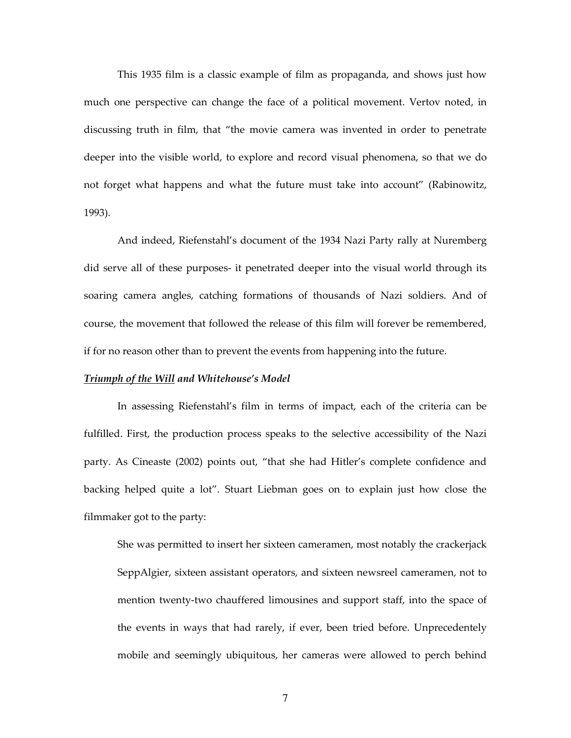This 1935 film is a classic example of film as propaganda, and shows just how much one perspective can change the face of a political movement. Vertov noted, in discussing truth in film, that "the movie camera was invented in order to penetrate deeper into the visible world, to explore and record visual phenomena, so that we do not forget what happens and what the future must take into account" (Rabinowitz, 1993).

 And indeed, Riefenstahl's document of the 1934 Nazi Party rally at Nuremberg did serve all of these purposes- it penetrated deeper into the visual world through its soaring camera angles, catching formations of thousands of Nazi soldiers. And of course, the movement that followed the release of this film will forever be remembered, if for no reason other than to prevent the events from happening into the future.

### Triumph of the Will and Whitehouse's Model

 In assessing Riefenstahl's film in terms of impact, each of the criteria can be fulfilled. First, the production process speaks to the selective accessibility of the Nazi party. As Cineaste (2002) points out, "that she had Hitler's complete confidence and backing helped quite a lot". Stuart Liebman goes on to explain just how close the filmmaker got to the party:

She was permitted to insert her sixteen cameramen, most notably the crackerjack SeppAlgier, sixteen assistant operators, and sixteen newsreel cameramen, not to mention twenty-two chauffered limousines and support staff, into the space of the events in ways that had rarely, if ever, been tried before. Unprecedentely mobile and seemingly ubiquitous, her cameras were allowed to perch behind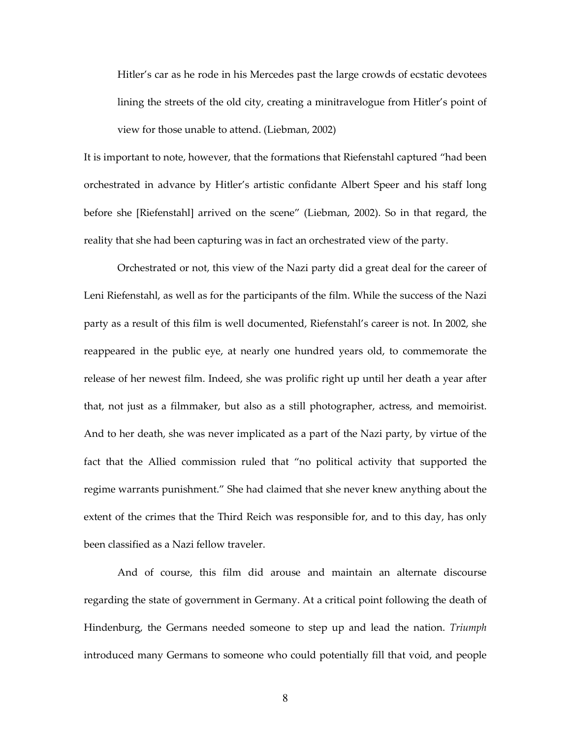Hitler's car as he rode in his Mercedes past the large crowds of ecstatic devotees lining the streets of the old city, creating a minitravelogue from Hitler's point of view for those unable to attend. (Liebman, 2002)

It is important to note, however, that the formations that Riefenstahl captured "had been orchestrated in advance by Hitler's artistic confidante Albert Speer and his staff long before she [Riefenstahl] arrived on the scene" (Liebman, 2002). So in that regard, the reality that she had been capturing was in fact an orchestrated view of the party.

 Orchestrated or not, this view of the Nazi party did a great deal for the career of Leni Riefenstahl, as well as for the participants of the film. While the success of the Nazi party as a result of this film is well documented, Riefenstahl's career is not. In 2002, she reappeared in the public eye, at nearly one hundred years old, to commemorate the release of her newest film. Indeed, she was prolific right up until her death a year after that, not just as a filmmaker, but also as a still photographer, actress, and memoirist. And to her death, she was never implicated as a part of the Nazi party, by virtue of the fact that the Allied commission ruled that "no political activity that supported the regime warrants punishment." She had claimed that she never knew anything about the extent of the crimes that the Third Reich was responsible for, and to this day, has only been classified as a Nazi fellow traveler.

 And of course, this film did arouse and maintain an alternate discourse regarding the state of government in Germany. At a critical point following the death of Hindenburg, the Germans needed someone to step up and lead the nation. Triumph introduced many Germans to someone who could potentially fill that void, and people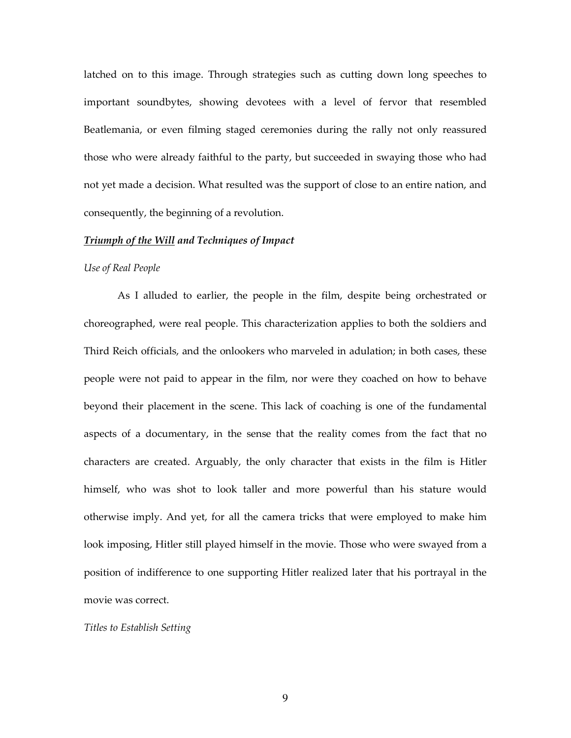latched on to this image. Through strategies such as cutting down long speeches to important soundbytes, showing devotees with a level of fervor that resembled Beatlemania, or even filming staged ceremonies during the rally not only reassured those who were already faithful to the party, but succeeded in swaying those who had not yet made a decision. What resulted was the support of close to an entire nation, and consequently, the beginning of a revolution.

## Triumph of the Will and Techniques of Impact

#### Use of Real People

As I alluded to earlier, the people in the film, despite being orchestrated or choreographed, were real people. This characterization applies to both the soldiers and Third Reich officials, and the onlookers who marveled in adulation; in both cases, these people were not paid to appear in the film, nor were they coached on how to behave beyond their placement in the scene. This lack of coaching is one of the fundamental aspects of a documentary, in the sense that the reality comes from the fact that no characters are created. Arguably, the only character that exists in the film is Hitler himself, who was shot to look taller and more powerful than his stature would otherwise imply. And yet, for all the camera tricks that were employed to make him look imposing, Hitler still played himself in the movie. Those who were swayed from a position of indifference to one supporting Hitler realized later that his portrayal in the movie was correct.

## Titles to Establish Setting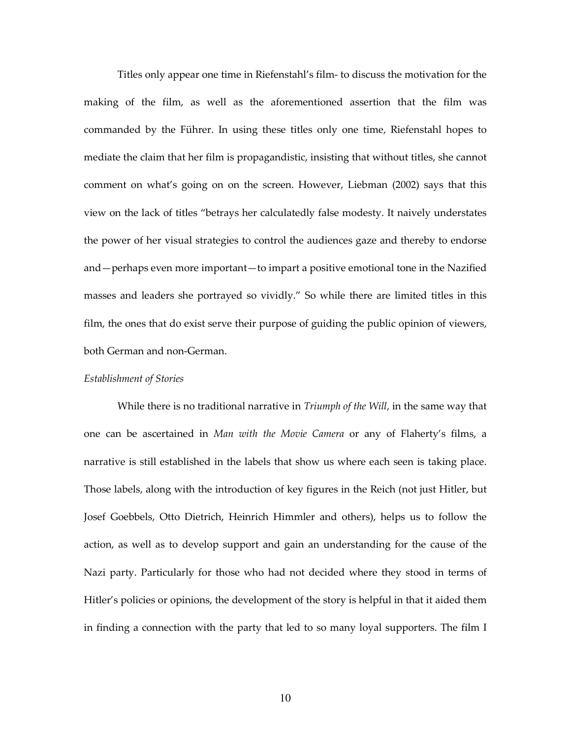Titles only appear one time in Riefenstahl's film- to discuss the motivation for the making of the film, as well as the aforementioned assertion that the film was commanded by the Führer. In using these titles only one time, Riefenstahl hopes to mediate the claim that her film is propagandistic, insisting that without titles, she cannot comment on what's going on on the screen. However, Liebman (2002) says that this view on the lack of titles "betrays her calculatedly false modesty. It naively understates the power of her visual strategies to control the audiences gaze and thereby to endorse and—perhaps even more important—to impart a positive emotional tone in the Nazified masses and leaders she portrayed so vividly." So while there are limited titles in this film, the ones that do exist serve their purpose of guiding the public opinion of viewers, both German and non-German.

# Establishment of Stories

While there is no traditional narrative in *Triumph of the Will*, in the same way that one can be ascertained in Man with the Movie Camera or any of Flaherty's films, a narrative is still established in the labels that show us where each seen is taking place. Those labels, along with the introduction of key figures in the Reich (not just Hitler, but Josef Goebbels, Otto Dietrich, Heinrich Himmler and others), helps us to follow the action, as well as to develop support and gain an understanding for the cause of the Nazi party. Particularly for those who had not decided where they stood in terms of Hitler's policies or opinions, the development of the story is helpful in that it aided them in finding a connection with the party that led to so many loyal supporters. The film I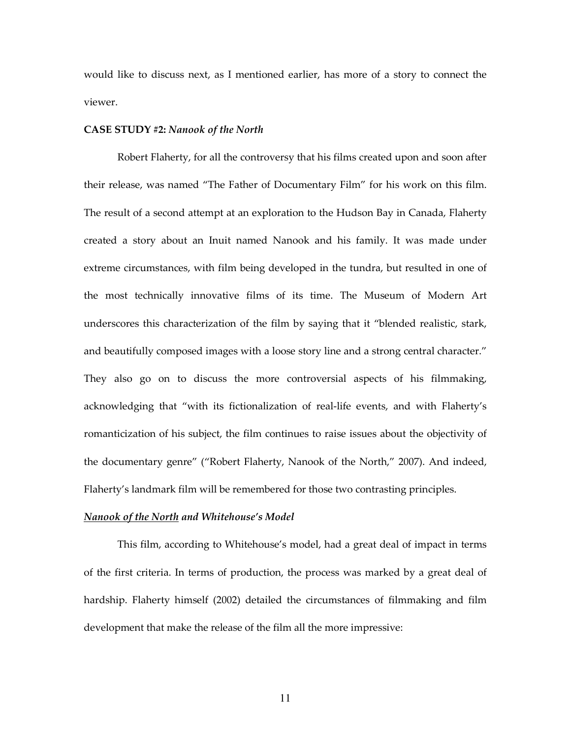would like to discuss next, as I mentioned earlier, has more of a story to connect the viewer.

#### CASE STUDY #2: Nanook of the North

Robert Flaherty, for all the controversy that his films created upon and soon after their release, was named "The Father of Documentary Film" for his work on this film. The result of a second attempt at an exploration to the Hudson Bay in Canada, Flaherty created a story about an Inuit named Nanook and his family. It was made under extreme circumstances, with film being developed in the tundra, but resulted in one of the most technically innovative films of its time. The Museum of Modern Art underscores this characterization of the film by saying that it "blended realistic, stark, and beautifully composed images with a loose story line and a strong central character." They also go on to discuss the more controversial aspects of his filmmaking, acknowledging that "with its fictionalization of real-life events, and with Flaherty's romanticization of his subject, the film continues to raise issues about the objectivity of the documentary genre" ("Robert Flaherty, Nanook of the North," 2007). And indeed, Flaherty's landmark film will be remembered for those two contrasting principles.

# Nanook of the North and Whitehouse's Model

 This film, according to Whitehouse's model, had a great deal of impact in terms of the first criteria. In terms of production, the process was marked by a great deal of hardship. Flaherty himself (2002) detailed the circumstances of filmmaking and film development that make the release of the film all the more impressive: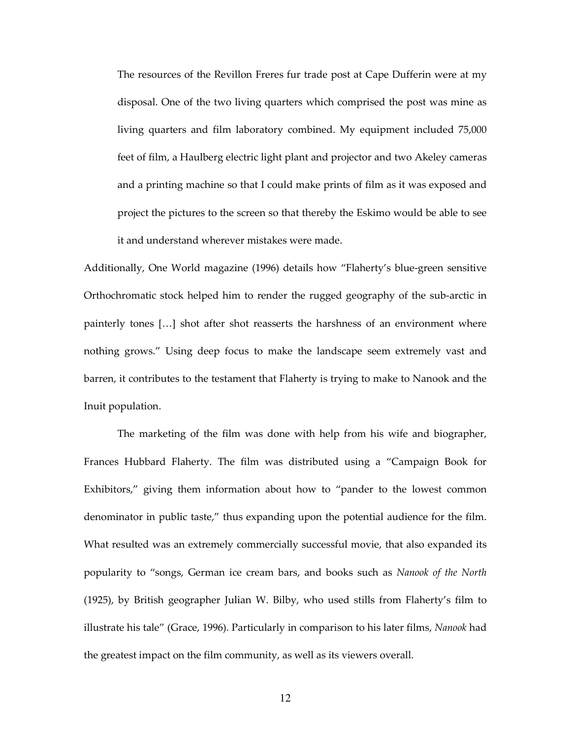The resources of the Revillon Freres fur trade post at Cape Dufferin were at my disposal. One of the two living quarters which comprised the post was mine as living quarters and film laboratory combined. My equipment included 75,000 feet of film, a Haulberg electric light plant and projector and two Akeley cameras and a printing machine so that I could make prints of film as it was exposed and project the pictures to the screen so that thereby the Eskimo would be able to see it and understand wherever mistakes were made.

Additionally, One World magazine (1996) details how "Flaherty's blue-green sensitive Orthochromatic stock helped him to render the rugged geography of the sub-arctic in painterly tones […] shot after shot reasserts the harshness of an environment where nothing grows." Using deep focus to make the landscape seem extremely vast and barren, it contributes to the testament that Flaherty is trying to make to Nanook and the Inuit population.

The marketing of the film was done with help from his wife and biographer, Frances Hubbard Flaherty. The film was distributed using a "Campaign Book for Exhibitors," giving them information about how to "pander to the lowest common denominator in public taste," thus expanding upon the potential audience for the film. What resulted was an extremely commercially successful movie, that also expanded its popularity to "songs, German ice cream bars, and books such as Nanook of the North (1925), by British geographer Julian W. Bilby, who used stills from Flaherty's film to illustrate his tale" (Grace, 1996). Particularly in comparison to his later films, Nanook had the greatest impact on the film community, as well as its viewers overall.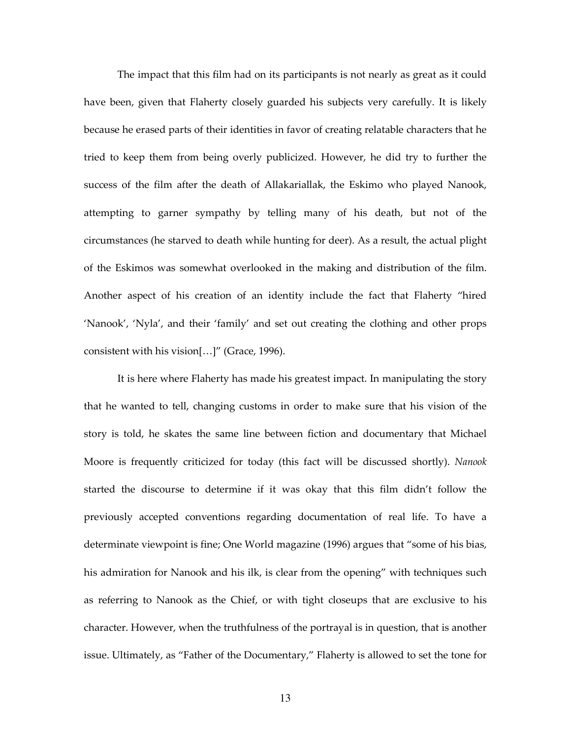The impact that this film had on its participants is not nearly as great as it could have been, given that Flaherty closely guarded his subjects very carefully. It is likely because he erased parts of their identities in favor of creating relatable characters that he tried to keep them from being overly publicized. However, he did try to further the success of the film after the death of Allakariallak, the Eskimo who played Nanook, attempting to garner sympathy by telling many of his death, but not of the circumstances (he starved to death while hunting for deer). As a result, the actual plight of the Eskimos was somewhat overlooked in the making and distribution of the film. Another aspect of his creation of an identity include the fact that Flaherty "hired 'Nanook', 'Nyla', and their 'family' and set out creating the clothing and other props consistent with his vision[…]" (Grace, 1996).

 It is here where Flaherty has made his greatest impact. In manipulating the story that he wanted to tell, changing customs in order to make sure that his vision of the story is told, he skates the same line between fiction and documentary that Michael Moore is frequently criticized for today (this fact will be discussed shortly). Nanook started the discourse to determine if it was okay that this film didn't follow the previously accepted conventions regarding documentation of real life. To have a determinate viewpoint is fine; One World magazine (1996) argues that "some of his bias, his admiration for Nanook and his ilk, is clear from the opening" with techniques such as referring to Nanook as the Chief, or with tight closeups that are exclusive to his character. However, when the truthfulness of the portrayal is in question, that is another issue. Ultimately, as "Father of the Documentary," Flaherty is allowed to set the tone for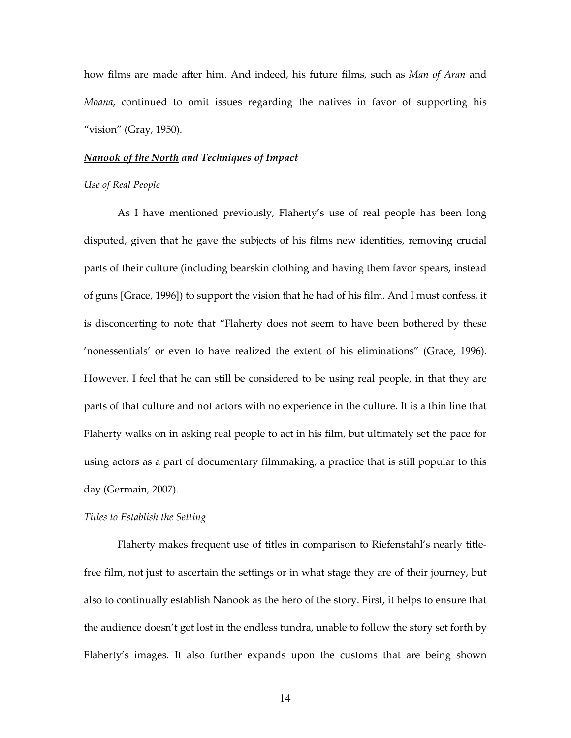how films are made after him. And indeed, his future films, such as Man of Aran and Moana, continued to omit issues regarding the natives in favor of supporting his "vision" (Gray, 1950).

#### Nanook of the North and Techniques of Impact

# Use of Real People

 As I have mentioned previously, Flaherty's use of real people has been long disputed, given that he gave the subjects of his films new identities, removing crucial parts of their culture (including bearskin clothing and having them favor spears, instead of guns [Grace, 1996]) to support the vision that he had of his film. And I must confess, it is disconcerting to note that "Flaherty does not seem to have been bothered by these 'nonessentials' or even to have realized the extent of his eliminations" (Grace, 1996). However, I feel that he can still be considered to be using real people, in that they are parts of that culture and not actors with no experience in the culture. It is a thin line that Flaherty walks on in asking real people to act in his film, but ultimately set the pace for using actors as a part of documentary filmmaking, a practice that is still popular to this day (Germain, 2007).

### Titles to Establish the Setting

 Flaherty makes frequent use of titles in comparison to Riefenstahl's nearly titlefree film, not just to ascertain the settings or in what stage they are of their journey, but also to continually establish Nanook as the hero of the story. First, it helps to ensure that the audience doesn't get lost in the endless tundra, unable to follow the story set forth by Flaherty's images. It also further expands upon the customs that are being shown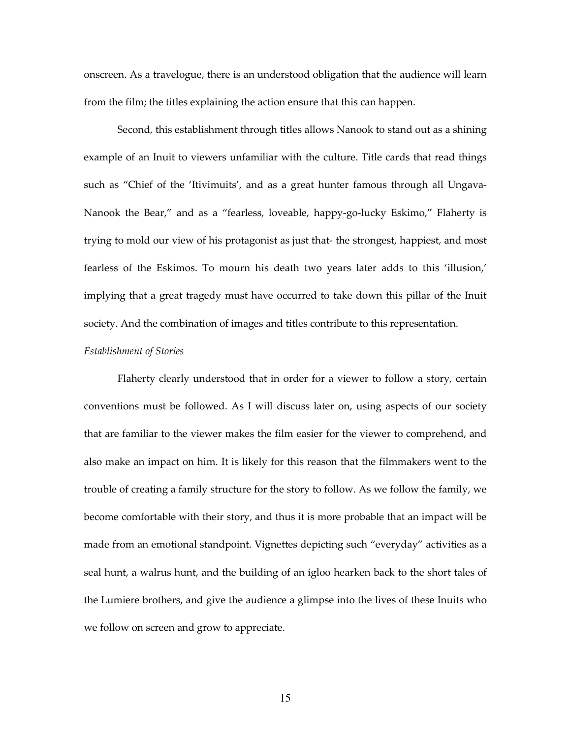onscreen. As a travelogue, there is an understood obligation that the audience will learn from the film; the titles explaining the action ensure that this can happen.

Second, this establishment through titles allows Nanook to stand out as a shining example of an Inuit to viewers unfamiliar with the culture. Title cards that read things such as "Chief of the 'Itivimuits', and as a great hunter famous through all Ungava-Nanook the Bear," and as a "fearless, loveable, happy-go-lucky Eskimo," Flaherty is trying to mold our view of his protagonist as just that- the strongest, happiest, and most fearless of the Eskimos. To mourn his death two years later adds to this 'illusion,' implying that a great tragedy must have occurred to take down this pillar of the Inuit society. And the combination of images and titles contribute to this representation.

## Establishment of Stories

 Flaherty clearly understood that in order for a viewer to follow a story, certain conventions must be followed. As I will discuss later on, using aspects of our society that are familiar to the viewer makes the film easier for the viewer to comprehend, and also make an impact on him. It is likely for this reason that the filmmakers went to the trouble of creating a family structure for the story to follow. As we follow the family, we become comfortable with their story, and thus it is more probable that an impact will be made from an emotional standpoint. Vignettes depicting such "everyday" activities as a seal hunt, a walrus hunt, and the building of an igloo hearken back to the short tales of the Lumiere brothers, and give the audience a glimpse into the lives of these Inuits who we follow on screen and grow to appreciate.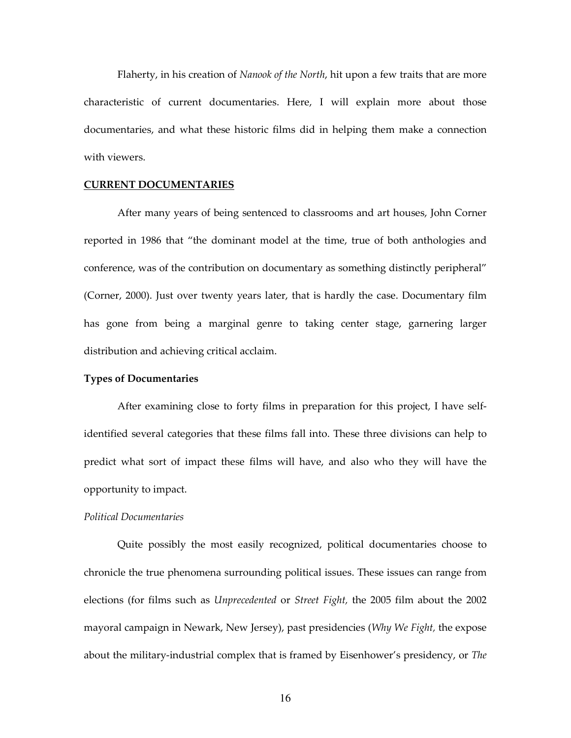Flaherty, in his creation of Nanook of the North, hit upon a few traits that are more characteristic of current documentaries. Here, I will explain more about those documentaries, and what these historic films did in helping them make a connection with viewers.

## CURRENT DOCUMENTARIES

 After many years of being sentenced to classrooms and art houses, John Corner reported in 1986 that "the dominant model at the time, true of both anthologies and conference, was of the contribution on documentary as something distinctly peripheral" (Corner, 2000). Just over twenty years later, that is hardly the case. Documentary film has gone from being a marginal genre to taking center stage, garnering larger distribution and achieving critical acclaim.

# Types of Documentaries

 After examining close to forty films in preparation for this project, I have selfidentified several categories that these films fall into. These three divisions can help to predict what sort of impact these films will have, and also who they will have the opportunity to impact.

#### Political Documentaries

 Quite possibly the most easily recognized, political documentaries choose to chronicle the true phenomena surrounding political issues. These issues can range from elections (for films such as Unprecedented or Street Fight, the 2005 film about the 2002 mayoral campaign in Newark, New Jersey), past presidencies (Why We Fight, the expose about the military-industrial complex that is framed by Eisenhower's presidency, or The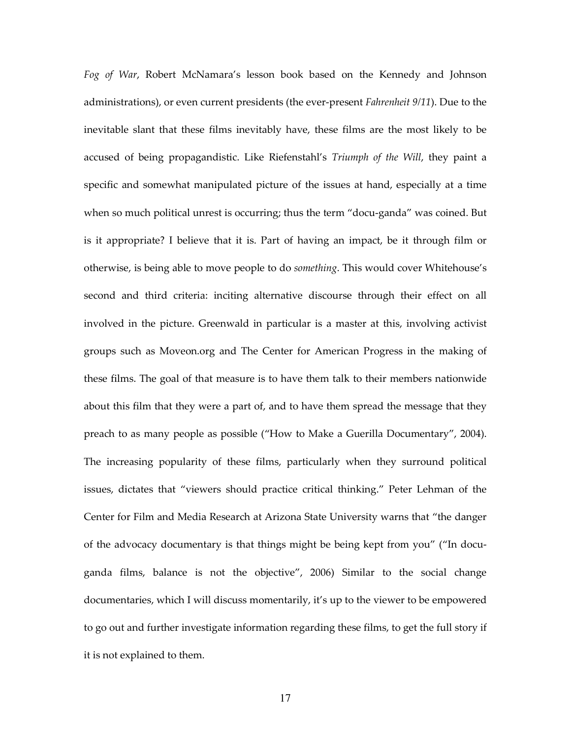Fog of War, Robert McNamara's lesson book based on the Kennedy and Johnson administrations), or even current presidents (the ever-present Fahrenheit 9/11). Due to the inevitable slant that these films inevitably have, these films are the most likely to be accused of being propagandistic. Like Riefenstahl's Triumph of the Will, they paint a specific and somewhat manipulated picture of the issues at hand, especially at a time when so much political unrest is occurring; thus the term "docu-ganda" was coined. But is it appropriate? I believe that it is. Part of having an impact, be it through film or otherwise, is being able to move people to do something. This would cover Whitehouse's second and third criteria: inciting alternative discourse through their effect on all involved in the picture. Greenwald in particular is a master at this, involving activist groups such as Moveon.org and The Center for American Progress in the making of these films. The goal of that measure is to have them talk to their members nationwide about this film that they were a part of, and to have them spread the message that they preach to as many people as possible ("How to Make a Guerilla Documentary", 2004). The increasing popularity of these films, particularly when they surround political issues, dictates that "viewers should practice critical thinking." Peter Lehman of the Center for Film and Media Research at Arizona State University warns that "the danger of the advocacy documentary is that things might be being kept from you" ("In docuganda films, balance is not the objective", 2006) Similar to the social change documentaries, which I will discuss momentarily, it's up to the viewer to be empowered to go out and further investigate information regarding these films, to get the full story if it is not explained to them.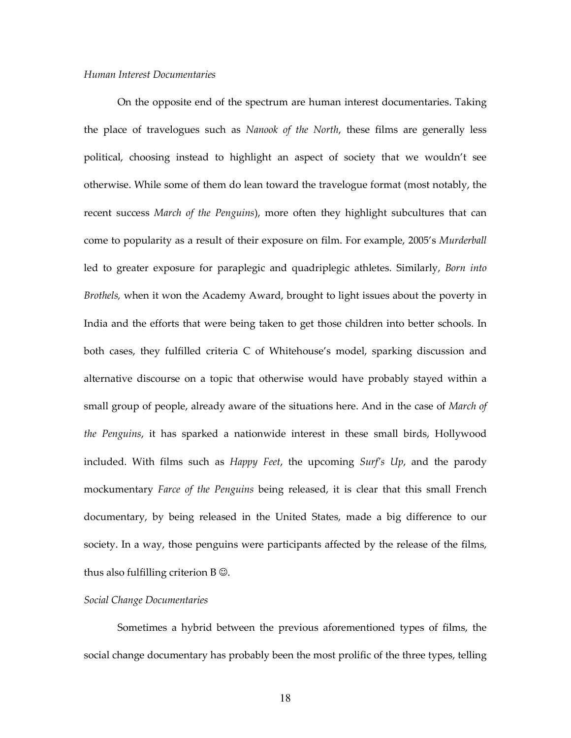### Human Interest Documentaries

 On the opposite end of the spectrum are human interest documentaries. Taking the place of travelogues such as Nanook of the North, these films are generally less political, choosing instead to highlight an aspect of society that we wouldn't see otherwise. While some of them do lean toward the travelogue format (most notably, the recent success March of the Penguins), more often they highlight subcultures that can come to popularity as a result of their exposure on film. For example, 2005's Murderball led to greater exposure for paraplegic and quadriplegic athletes. Similarly, Born into Brothels, when it won the Academy Award, brought to light issues about the poverty in India and the efforts that were being taken to get those children into better schools. In both cases, they fulfilled criteria C of Whitehouse's model, sparking discussion and alternative discourse on a topic that otherwise would have probably stayed within a small group of people, already aware of the situations here. And in the case of *March of* the Penguins, it has sparked a nationwide interest in these small birds, Hollywood included. With films such as  $H$ appy Feet, the upcoming Surf's Up, and the parody mockumentary *Farce of the Penguins* being released, it is clear that this small French documentary, by being released in the United States, made a big difference to our society. In a way, those penguins were participants affected by the release of the films, thus also fulfilling criterion  $B \mathcal{Q}$ .

### Social Change Documentaries

 Sometimes a hybrid between the previous aforementioned types of films, the social change documentary has probably been the most prolific of the three types, telling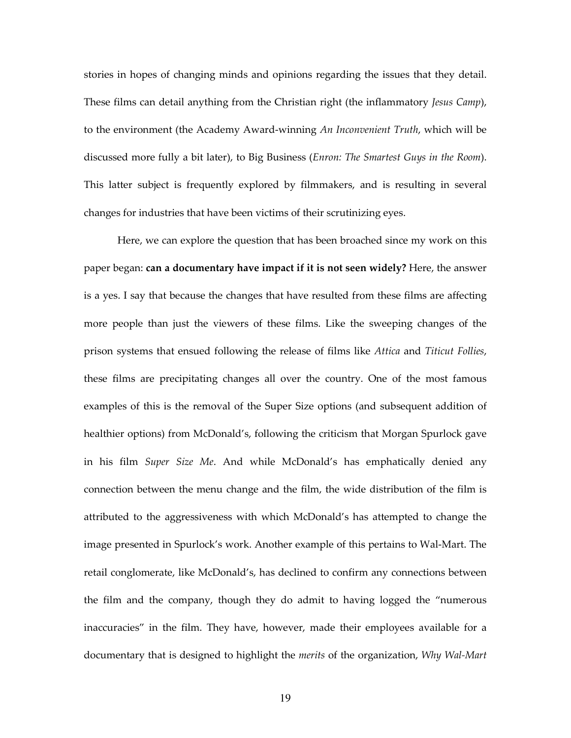stories in hopes of changing minds and opinions regarding the issues that they detail. These films can detail anything from the Christian right (the inflammatory Jesus Camp), to the environment (the Academy Award-winning An Inconvenient Truth, which will be discussed more fully a bit later), to Big Business (Enron: The Smartest Guys in the Room). This latter subject is frequently explored by filmmakers, and is resulting in several changes for industries that have been victims of their scrutinizing eyes.

Here, we can explore the question that has been broached since my work on this paper began: can a documentary have impact if it is not seen widely? Here, the answer is a yes. I say that because the changes that have resulted from these films are affecting more people than just the viewers of these films. Like the sweeping changes of the prison systems that ensued following the release of films like Attica and Titicut Follies, these films are precipitating changes all over the country. One of the most famous examples of this is the removal of the Super Size options (and subsequent addition of healthier options) from McDonald's, following the criticism that Morgan Spurlock gave in his film Super Size Me. And while McDonald's has emphatically denied any connection between the menu change and the film, the wide distribution of the film is attributed to the aggressiveness with which McDonald's has attempted to change the image presented in Spurlock's work. Another example of this pertains to Wal-Mart. The retail conglomerate, like McDonald's, has declined to confirm any connections between the film and the company, though they do admit to having logged the "numerous inaccuracies" in the film. They have, however, made their employees available for a documentary that is designed to highlight the *merits* of the organization, Why Wal-Mart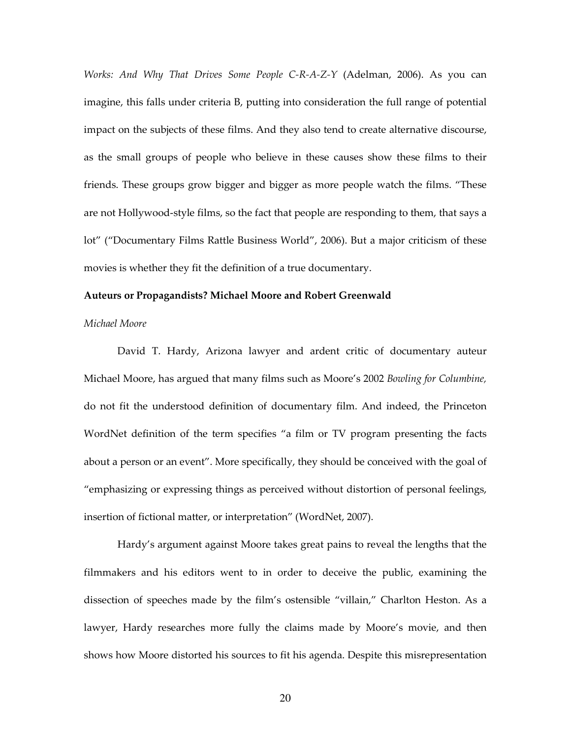Works: And Why That Drives Some People C-R-A-Z-Y (Adelman, 2006). As you can imagine, this falls under criteria B, putting into consideration the full range of potential impact on the subjects of these films. And they also tend to create alternative discourse, as the small groups of people who believe in these causes show these films to their friends. These groups grow bigger and bigger as more people watch the films. "These are not Hollywood-style films, so the fact that people are responding to them, that says a lot" ("Documentary Films Rattle Business World", 2006). But a major criticism of these movies is whether they fit the definition of a true documentary.

#### Auteurs or Propagandists? Michael Moore and Robert Greenwald

### Michael Moore

David T. Hardy, Arizona lawyer and ardent critic of documentary auteur Michael Moore, has argued that many films such as Moore's 2002 Bowling for Columbine, do not fit the understood definition of documentary film. And indeed, the Princeton WordNet definition of the term specifies "a film or TV program presenting the facts about a person or an event". More specifically, they should be conceived with the goal of "emphasizing or expressing things as perceived without distortion of personal feelings, insertion of fictional matter, or interpretation" (WordNet, 2007).

 Hardy's argument against Moore takes great pains to reveal the lengths that the filmmakers and his editors went to in order to deceive the public, examining the dissection of speeches made by the film's ostensible "villain," Charlton Heston. As a lawyer, Hardy researches more fully the claims made by Moore's movie, and then shows how Moore distorted his sources to fit his agenda. Despite this misrepresentation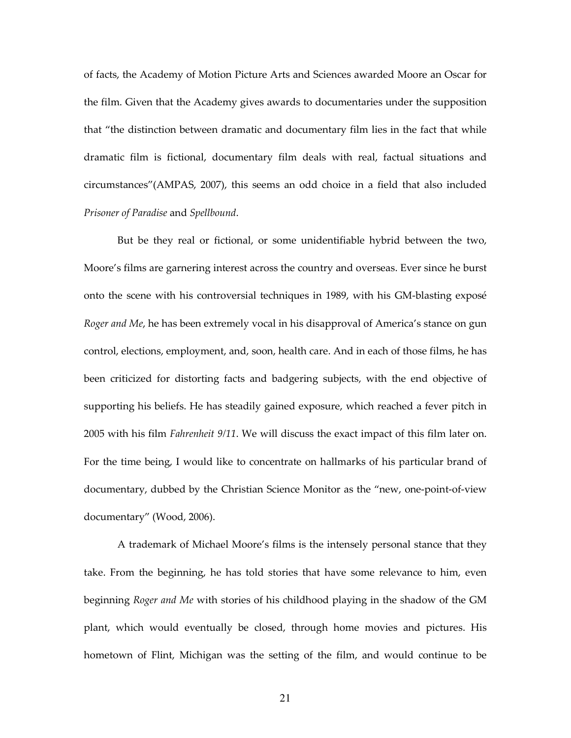of facts, the Academy of Motion Picture Arts and Sciences awarded Moore an Oscar for the film. Given that the Academy gives awards to documentaries under the supposition that "the distinction between dramatic and documentary film lies in the fact that while dramatic film is fictional, documentary film deals with real, factual situations and circumstances"(AMPAS, 2007), this seems an odd choice in a field that also included Prisoner of Paradise and Spellbound.

 But be they real or fictional, or some unidentifiable hybrid between the two, Moore's films are garnering interest across the country and overseas. Ever since he burst onto the scene with his controversial techniques in 1989, with his GM-blasting exposé Roger and Me, he has been extremely vocal in his disapproval of America's stance on gun control, elections, employment, and, soon, health care. And in each of those films, he has been criticized for distorting facts and badgering subjects, with the end objective of supporting his beliefs. He has steadily gained exposure, which reached a fever pitch in 2005 with his film *Fahrenheit 9/11*. We will discuss the exact impact of this film later on. For the time being, I would like to concentrate on hallmarks of his particular brand of documentary, dubbed by the Christian Science Monitor as the "new, one-point-of-view documentary" (Wood, 2006).

 A trademark of Michael Moore's films is the intensely personal stance that they take. From the beginning, he has told stories that have some relevance to him, even beginning Roger and Me with stories of his childhood playing in the shadow of the GM plant, which would eventually be closed, through home movies and pictures. His hometown of Flint, Michigan was the setting of the film, and would continue to be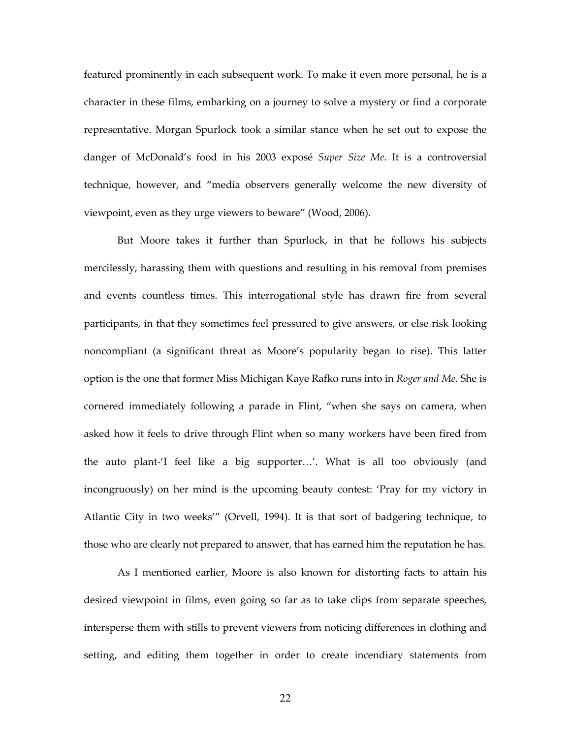featured prominently in each subsequent work. To make it even more personal, he is a character in these films, embarking on a journey to solve a mystery or find a corporate representative. Morgan Spurlock took a similar stance when he set out to expose the danger of McDonald's food in his 2003 exposé Super Size Me. It is a controversial technique, however, and "media observers generally welcome the new diversity of viewpoint, even as they urge viewers to beware" (Wood, 2006).

 But Moore takes it further than Spurlock, in that he follows his subjects mercilessly, harassing them with questions and resulting in his removal from premises and events countless times. This interrogational style has drawn fire from several participants, in that they sometimes feel pressured to give answers, or else risk looking noncompliant (a significant threat as Moore's popularity began to rise). This latter option is the one that former Miss Michigan Kaye Rafko runs into in Roger and Me. She is cornered immediately following a parade in Flint, "when she says on camera, when asked how it feels to drive through Flint when so many workers have been fired from the auto plant-'I feel like a big supporter…'. What is all too obviously (and incongruously) on her mind is the upcoming beauty contest: 'Pray for my victory in Atlantic City in two weeks'" (Orvell, 1994). It is that sort of badgering technique, to those who are clearly not prepared to answer, that has earned him the reputation he has.

 As I mentioned earlier, Moore is also known for distorting facts to attain his desired viewpoint in films, even going so far as to take clips from separate speeches, intersperse them with stills to prevent viewers from noticing differences in clothing and setting, and editing them together in order to create incendiary statements from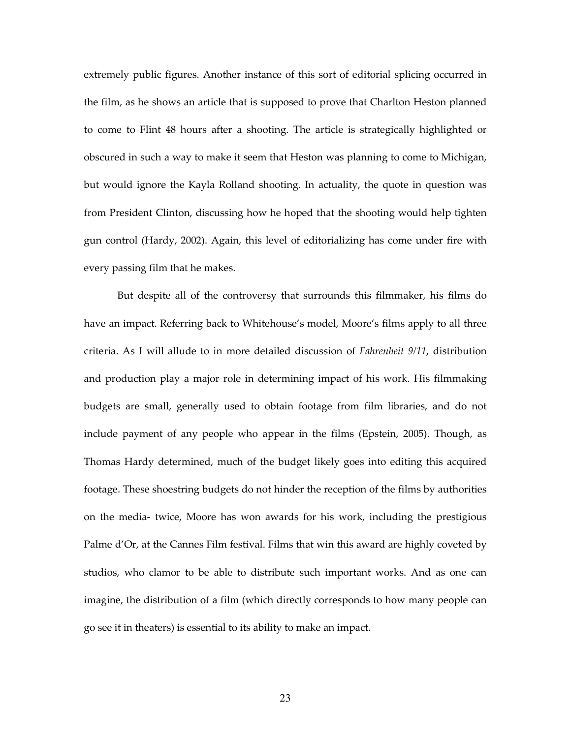extremely public figures. Another instance of this sort of editorial splicing occurred in the film, as he shows an article that is supposed to prove that Charlton Heston planned to come to Flint 48 hours after a shooting. The article is strategically highlighted or obscured in such a way to make it seem that Heston was planning to come to Michigan, but would ignore the Kayla Rolland shooting. In actuality, the quote in question was from President Clinton, discussing how he hoped that the shooting would help tighten gun control (Hardy, 2002). Again, this level of editorializing has come under fire with every passing film that he makes.

 But despite all of the controversy that surrounds this filmmaker, his films do have an impact. Referring back to Whitehouse's model, Moore's films apply to all three criteria. As I will allude to in more detailed discussion of Fahrenheit 9/11, distribution and production play a major role in determining impact of his work. His filmmaking budgets are small, generally used to obtain footage from film libraries, and do not include payment of any people who appear in the films (Epstein, 2005). Though, as Thomas Hardy determined, much of the budget likely goes into editing this acquired footage. These shoestring budgets do not hinder the reception of the films by authorities on the media- twice, Moore has won awards for his work, including the prestigious Palme d'Or, at the Cannes Film festival. Films that win this award are highly coveted by studios, who clamor to be able to distribute such important works. And as one can imagine, the distribution of a film (which directly corresponds to how many people can go see it in theaters) is essential to its ability to make an impact.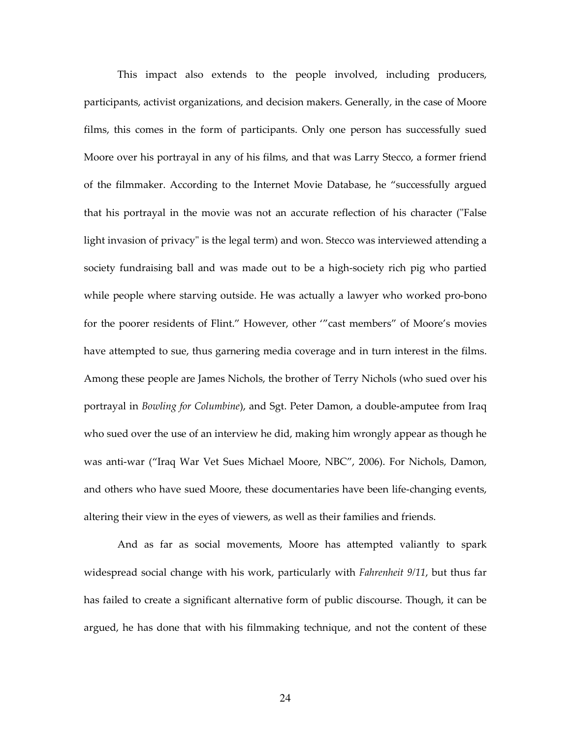This impact also extends to the people involved, including producers, participants, activist organizations, and decision makers. Generally, in the case of Moore films, this comes in the form of participants. Only one person has successfully sued Moore over his portrayal in any of his films, and that was Larry Stecco, a former friend of the filmmaker. According to the Internet Movie Database, he "successfully argued that his portrayal in the movie was not an accurate reflection of his character ("False light invasion of privacy" is the legal term) and won. Stecco was interviewed attending a society fundraising ball and was made out to be a high-society rich pig who partied while people where starving outside. He was actually a lawyer who worked pro-bono for the poorer residents of Flint." However, other '"cast members" of Moore's movies have attempted to sue, thus garnering media coverage and in turn interest in the films. Among these people are James Nichols, the brother of Terry Nichols (who sued over his portrayal in Bowling for Columbine), and Sgt. Peter Damon, a double-amputee from Iraq who sued over the use of an interview he did, making him wrongly appear as though he was anti-war ("Iraq War Vet Sues Michael Moore, NBC", 2006). For Nichols, Damon, and others who have sued Moore, these documentaries have been life-changing events, altering their view in the eyes of viewers, as well as their families and friends.

And as far as social movements, Moore has attempted valiantly to spark widespread social change with his work, particularly with *Fahrenheit 9/11*, but thus far has failed to create a significant alternative form of public discourse. Though, it can be argued, he has done that with his filmmaking technique, and not the content of these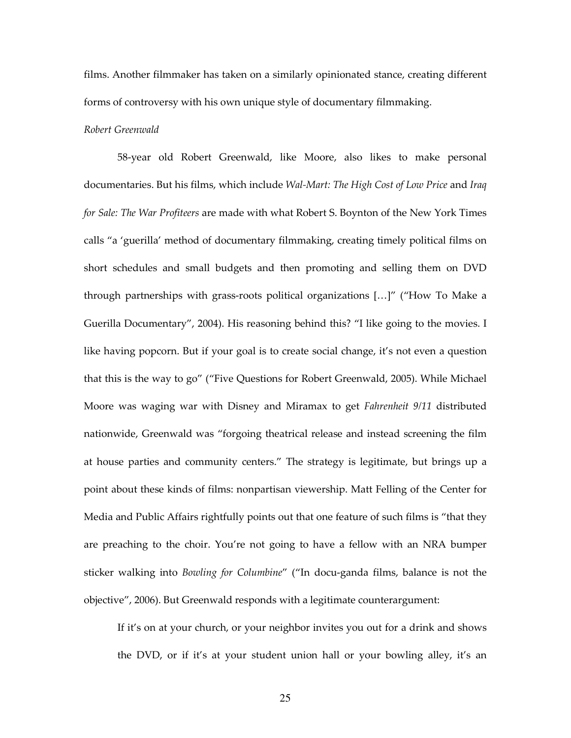films. Another filmmaker has taken on a similarly opinionated stance, creating different forms of controversy with his own unique style of documentary filmmaking.

# Robert Greenwald

 58-year old Robert Greenwald, like Moore, also likes to make personal documentaries. But his films, which include Wal-Mart: The High Cost of Low Price and Iraq for Sale: The War Profiteers are made with what Robert S. Boynton of the New York Times calls "a 'guerilla' method of documentary filmmaking, creating timely political films on short schedules and small budgets and then promoting and selling them on DVD through partnerships with grass-roots political organizations […]" ("How To Make a Guerilla Documentary", 2004). His reasoning behind this? "I like going to the movies. I like having popcorn. But if your goal is to create social change, it's not even a question that this is the way to go" ("Five Questions for Robert Greenwald, 2005). While Michael Moore was waging war with Disney and Miramax to get Fahrenheit 9/11 distributed nationwide, Greenwald was "forgoing theatrical release and instead screening the film at house parties and community centers." The strategy is legitimate, but brings up a point about these kinds of films: nonpartisan viewership. Matt Felling of the Center for Media and Public Affairs rightfully points out that one feature of such films is "that they are preaching to the choir. You're not going to have a fellow with an NRA bumper sticker walking into Bowling for Columbine" ("In docu-ganda films, balance is not the objective", 2006). But Greenwald responds with a legitimate counterargument:

If it's on at your church, or your neighbor invites you out for a drink and shows the DVD, or if it's at your student union hall or your bowling alley, it's an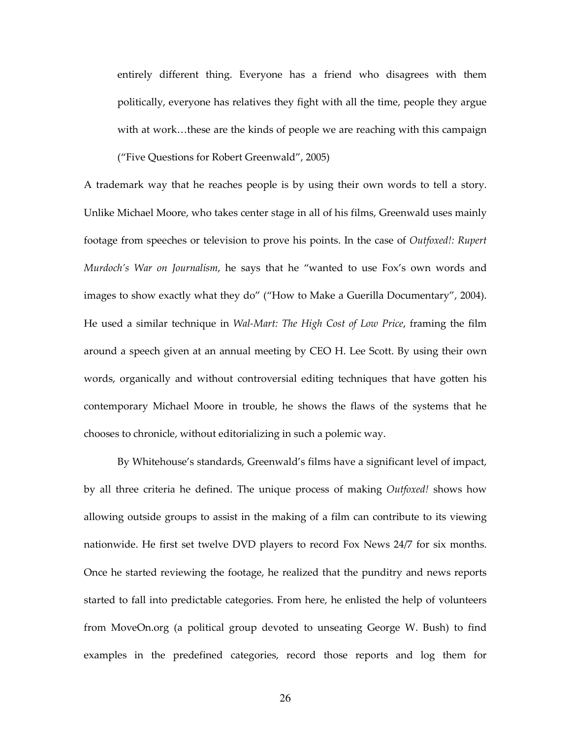entirely different thing. Everyone has a friend who disagrees with them politically, everyone has relatives they fight with all the time, people they argue with at work...these are the kinds of people we are reaching with this campaign ("Five Questions for Robert Greenwald", 2005)

A trademark way that he reaches people is by using their own words to tell a story. Unlike Michael Moore, who takes center stage in all of his films, Greenwald uses mainly footage from speeches or television to prove his points. In the case of Outfoxed!: Rupert Murdoch's War on Journalism, he says that he "wanted to use Fox's own words and images to show exactly what they do" ("How to Make a Guerilla Documentary", 2004). He used a similar technique in Wal-Mart: The High Cost of Low Price, framing the film around a speech given at an annual meeting by CEO H. Lee Scott. By using their own words, organically and without controversial editing techniques that have gotten his contemporary Michael Moore in trouble, he shows the flaws of the systems that he chooses to chronicle, without editorializing in such a polemic way.

 By Whitehouse's standards, Greenwald's films have a significant level of impact, by all three criteria he defined. The unique process of making Outfoxed! shows how allowing outside groups to assist in the making of a film can contribute to its viewing nationwide. He first set twelve DVD players to record Fox News 24/7 for six months. Once he started reviewing the footage, he realized that the punditry and news reports started to fall into predictable categories. From here, he enlisted the help of volunteers from MoveOn.org (a political group devoted to unseating George W. Bush) to find examples in the predefined categories, record those reports and log them for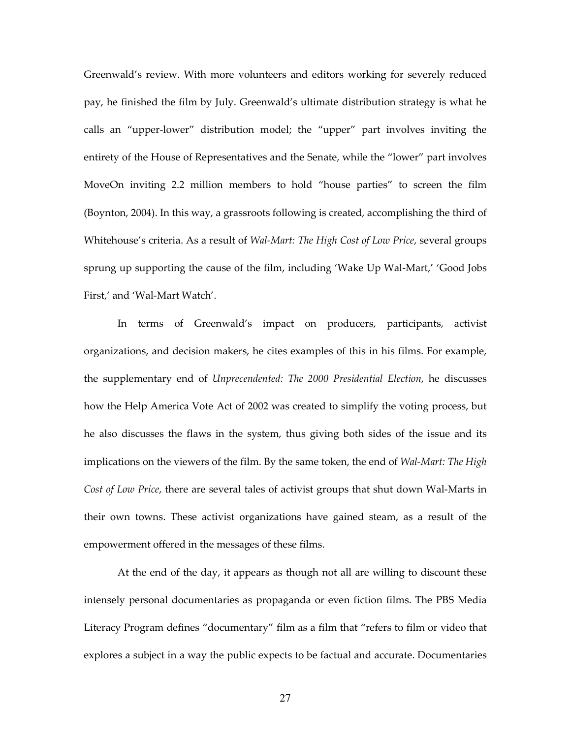Greenwald's review. With more volunteers and editors working for severely reduced pay, he finished the film by July. Greenwald's ultimate distribution strategy is what he calls an "upper-lower" distribution model; the "upper" part involves inviting the entirety of the House of Representatives and the Senate, while the "lower" part involves MoveOn inviting 2.2 million members to hold "house parties" to screen the film (Boynton, 2004). In this way, a grassroots following is created, accomplishing the third of Whitehouse's criteria. As a result of Wal-Mart: The High Cost of Low Price, several groups sprung up supporting the cause of the film, including 'Wake Up Wal-Mart,' 'Good Jobs First,' and 'Wal-Mart Watch'.

 In terms of Greenwald's impact on producers, participants, activist organizations, and decision makers, he cites examples of this in his films. For example, the supplementary end of Unprecendented: The 2000 Presidential Election, he discusses how the Help America Vote Act of 2002 was created to simplify the voting process, but he also discusses the flaws in the system, thus giving both sides of the issue and its implications on the viewers of the film. By the same token, the end of Wal-Mart: The High Cost of Low Price, there are several tales of activist groups that shut down Wal-Marts in their own towns. These activist organizations have gained steam, as a result of the empowerment offered in the messages of these films.

At the end of the day, it appears as though not all are willing to discount these intensely personal documentaries as propaganda or even fiction films. The PBS Media Literacy Program defines "documentary" film as a film that "refers to film or video that explores a subject in a way the public expects to be factual and accurate. Documentaries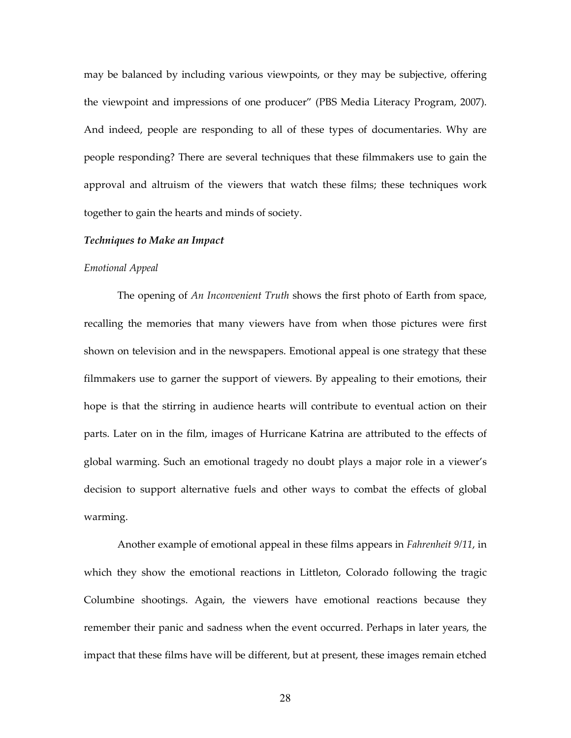may be balanced by including various viewpoints, or they may be subjective, offering the viewpoint and impressions of one producer" (PBS Media Literacy Program, 2007). And indeed, people are responding to all of these types of documentaries. Why are people responding? There are several techniques that these filmmakers use to gain the approval and altruism of the viewers that watch these films; these techniques work together to gain the hearts and minds of society.

### Techniques to Make an Impact

#### Emotional Appeal

The opening of An Inconvenient Truth shows the first photo of Earth from space, recalling the memories that many viewers have from when those pictures were first shown on television and in the newspapers. Emotional appeal is one strategy that these filmmakers use to garner the support of viewers. By appealing to their emotions, their hope is that the stirring in audience hearts will contribute to eventual action on their parts. Later on in the film, images of Hurricane Katrina are attributed to the effects of global warming. Such an emotional tragedy no doubt plays a major role in a viewer's decision to support alternative fuels and other ways to combat the effects of global warming.

 Another example of emotional appeal in these films appears in Fahrenheit 9/11, in which they show the emotional reactions in Littleton, Colorado following the tragic Columbine shootings. Again, the viewers have emotional reactions because they remember their panic and sadness when the event occurred. Perhaps in later years, the impact that these films have will be different, but at present, these images remain etched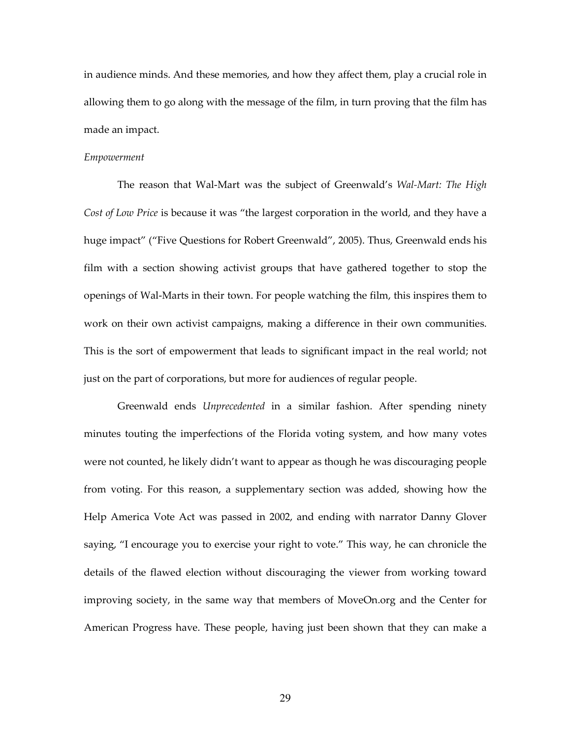in audience minds. And these memories, and how they affect them, play a crucial role in allowing them to go along with the message of the film, in turn proving that the film has made an impact.

#### Empowerment

The reason that Wal-Mart was the subject of Greenwald's Wal-Mart: The High Cost of Low Price is because it was "the largest corporation in the world, and they have a huge impact" ("Five Questions for Robert Greenwald", 2005). Thus, Greenwald ends his film with a section showing activist groups that have gathered together to stop the openings of Wal-Marts in their town. For people watching the film, this inspires them to work on their own activist campaigns, making a difference in their own communities. This is the sort of empowerment that leads to significant impact in the real world; not just on the part of corporations, but more for audiences of regular people.

 Greenwald ends Unprecedented in a similar fashion. After spending ninety minutes touting the imperfections of the Florida voting system, and how many votes were not counted, he likely didn't want to appear as though he was discouraging people from voting. For this reason, a supplementary section was added, showing how the Help America Vote Act was passed in 2002, and ending with narrator Danny Glover saying, "I encourage you to exercise your right to vote." This way, he can chronicle the details of the flawed election without discouraging the viewer from working toward improving society, in the same way that members of MoveOn.org and the Center for American Progress have. These people, having just been shown that they can make a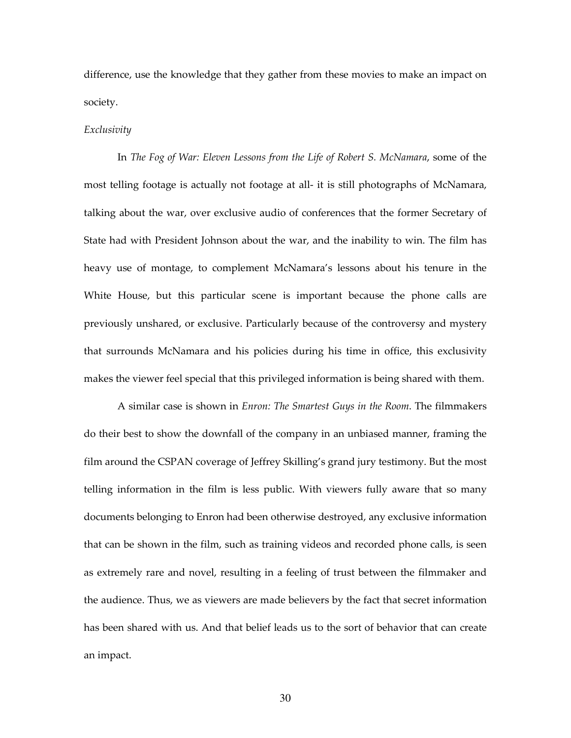difference, use the knowledge that they gather from these movies to make an impact on society.

### Exclusivity

 In The Fog of War: Eleven Lessons from the Life of Robert S. McNamara, some of the most telling footage is actually not footage at all- it is still photographs of McNamara, talking about the war, over exclusive audio of conferences that the former Secretary of State had with President Johnson about the war, and the inability to win. The film has heavy use of montage, to complement McNamara's lessons about his tenure in the White House, but this particular scene is important because the phone calls are previously unshared, or exclusive. Particularly because of the controversy and mystery that surrounds McNamara and his policies during his time in office, this exclusivity makes the viewer feel special that this privileged information is being shared with them.

A similar case is shown in Enron: The Smartest Guys in the Room. The filmmakers do their best to show the downfall of the company in an unbiased manner, framing the film around the CSPAN coverage of Jeffrey Skilling's grand jury testimony. But the most telling information in the film is less public. With viewers fully aware that so many documents belonging to Enron had been otherwise destroyed, any exclusive information that can be shown in the film, such as training videos and recorded phone calls, is seen as extremely rare and novel, resulting in a feeling of trust between the filmmaker and the audience. Thus, we as viewers are made believers by the fact that secret information has been shared with us. And that belief leads us to the sort of behavior that can create an impact.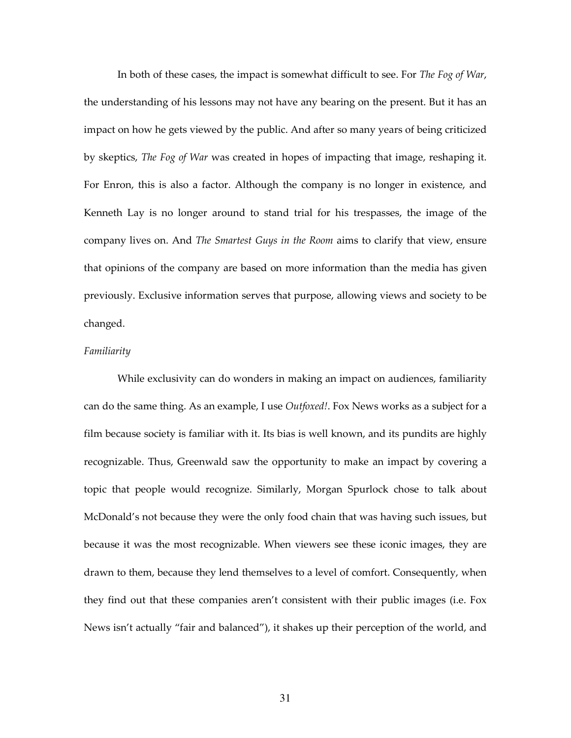In both of these cases, the impact is somewhat difficult to see. For The Fog of War, the understanding of his lessons may not have any bearing on the present. But it has an impact on how he gets viewed by the public. And after so many years of being criticized by skeptics, The Fog of War was created in hopes of impacting that image, reshaping it. For Enron, this is also a factor. Although the company is no longer in existence, and Kenneth Lay is no longer around to stand trial for his trespasses, the image of the company lives on. And The Smartest Guys in the Room aims to clarify that view, ensure that opinions of the company are based on more information than the media has given previously. Exclusive information serves that purpose, allowing views and society to be changed.

## Familiarity

 While exclusivity can do wonders in making an impact on audiences, familiarity can do the same thing. As an example, I use *Outfoxed!*. Fox News works as a subject for a film because society is familiar with it. Its bias is well known, and its pundits are highly recognizable. Thus, Greenwald saw the opportunity to make an impact by covering a topic that people would recognize. Similarly, Morgan Spurlock chose to talk about McDonald's not because they were the only food chain that was having such issues, but because it was the most recognizable. When viewers see these iconic images, they are drawn to them, because they lend themselves to a level of comfort. Consequently, when they find out that these companies aren't consistent with their public images (i.e. Fox News isn't actually "fair and balanced"), it shakes up their perception of the world, and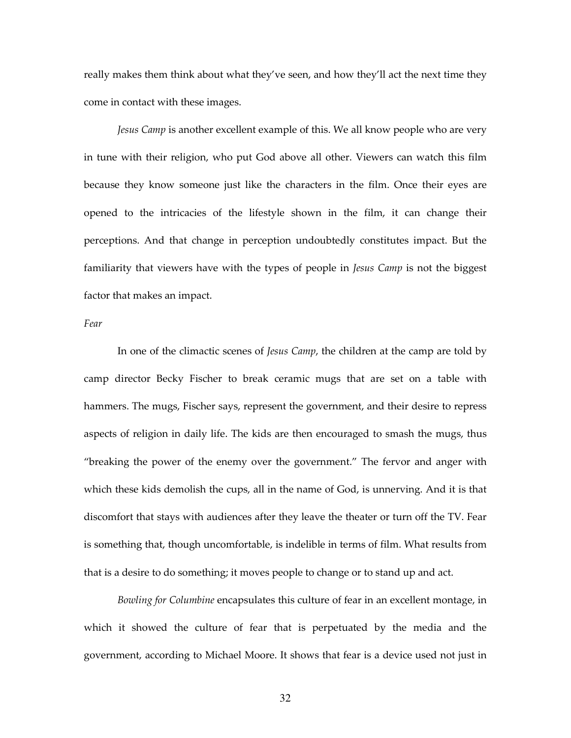really makes them think about what they've seen, and how they'll act the next time they come in contact with these images.

Jesus Camp is another excellent example of this. We all know people who are very in tune with their religion, who put God above all other. Viewers can watch this film because they know someone just like the characters in the film. Once their eyes are opened to the intricacies of the lifestyle shown in the film, it can change their perceptions. And that change in perception undoubtedly constitutes impact. But the familiarity that viewers have with the types of people in *Jesus Camp* is not the biggest factor that makes an impact.

Fear

In one of the climactic scenes of *Jesus Camp*, the children at the camp are told by camp director Becky Fischer to break ceramic mugs that are set on a table with hammers. The mugs, Fischer says, represent the government, and their desire to repress aspects of religion in daily life. The kids are then encouraged to smash the mugs, thus "breaking the power of the enemy over the government." The fervor and anger with which these kids demolish the cups, all in the name of God, is unnerving. And it is that discomfort that stays with audiences after they leave the theater or turn off the TV. Fear is something that, though uncomfortable, is indelible in terms of film. What results from that is a desire to do something; it moves people to change or to stand up and act.

Bowling for Columbine encapsulates this culture of fear in an excellent montage, in which it showed the culture of fear that is perpetuated by the media and the government, according to Michael Moore. It shows that fear is a device used not just in

32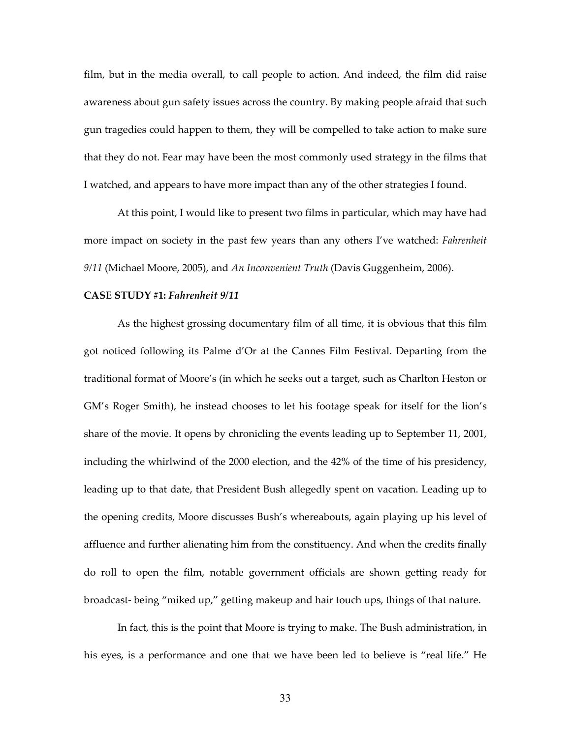film, but in the media overall, to call people to action. And indeed, the film did raise awareness about gun safety issues across the country. By making people afraid that such gun tragedies could happen to them, they will be compelled to take action to make sure that they do not. Fear may have been the most commonly used strategy in the films that I watched, and appears to have more impact than any of the other strategies I found.

 At this point, I would like to present two films in particular, which may have had more impact on society in the past few years than any others I've watched: *Fahrenheit*  $9/11$  (Michael Moore, 2005), and An Inconvenient Truth (Davis Guggenheim, 2006).

#### CASE STUDY #1: Fahrenheit 9/11

As the highest grossing documentary film of all time, it is obvious that this film got noticed following its Palme d'Or at the Cannes Film Festival. Departing from the traditional format of Moore's (in which he seeks out a target, such as Charlton Heston or GM's Roger Smith), he instead chooses to let his footage speak for itself for the lion's share of the movie. It opens by chronicling the events leading up to September 11, 2001, including the whirlwind of the 2000 election, and the 42% of the time of his presidency, leading up to that date, that President Bush allegedly spent on vacation. Leading up to the opening credits, Moore discusses Bush's whereabouts, again playing up his level of affluence and further alienating him from the constituency. And when the credits finally do roll to open the film, notable government officials are shown getting ready for broadcast- being "miked up," getting makeup and hair touch ups, things of that nature.

 In fact, this is the point that Moore is trying to make. The Bush administration, in his eyes, is a performance and one that we have been led to believe is "real life." He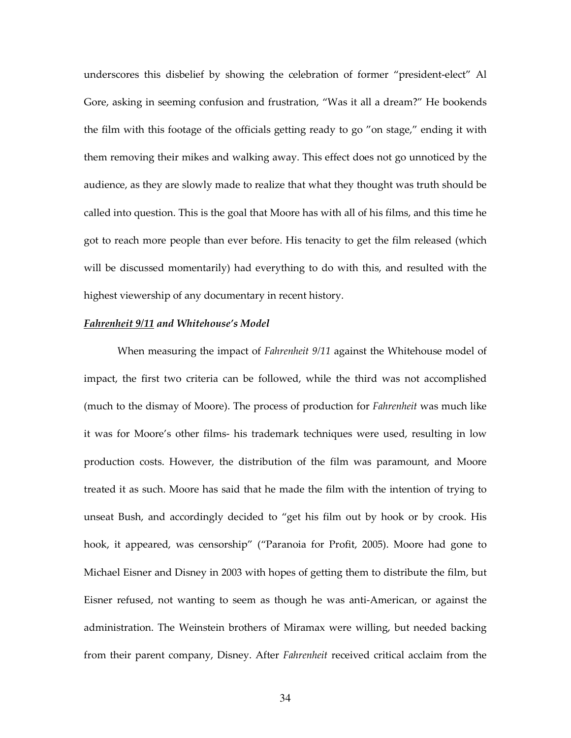underscores this disbelief by showing the celebration of former "president-elect" Al Gore, asking in seeming confusion and frustration, "Was it all a dream?" He bookends the film with this footage of the officials getting ready to go "on stage," ending it with them removing their mikes and walking away. This effect does not go unnoticed by the audience, as they are slowly made to realize that what they thought was truth should be called into question. This is the goal that Moore has with all of his films, and this time he got to reach more people than ever before. His tenacity to get the film released (which will be discussed momentarily) had everything to do with this, and resulted with the highest viewership of any documentary in recent history.

## Fahrenheit 9/11 and Whitehouse's Model

When measuring the impact of *Fahrenheit 9/11* against the Whitehouse model of impact, the first two criteria can be followed, while the third was not accomplished (much to the dismay of Moore). The process of production for Fahrenheit was much like it was for Moore's other films- his trademark techniques were used, resulting in low production costs. However, the distribution of the film was paramount, and Moore treated it as such. Moore has said that he made the film with the intention of trying to unseat Bush, and accordingly decided to "get his film out by hook or by crook. His hook, it appeared, was censorship" ("Paranoia for Profit, 2005). Moore had gone to Michael Eisner and Disney in 2003 with hopes of getting them to distribute the film, but Eisner refused, not wanting to seem as though he was anti-American, or against the administration. The Weinstein brothers of Miramax were willing, but needed backing from their parent company, Disney. After Fahrenheit received critical acclaim from the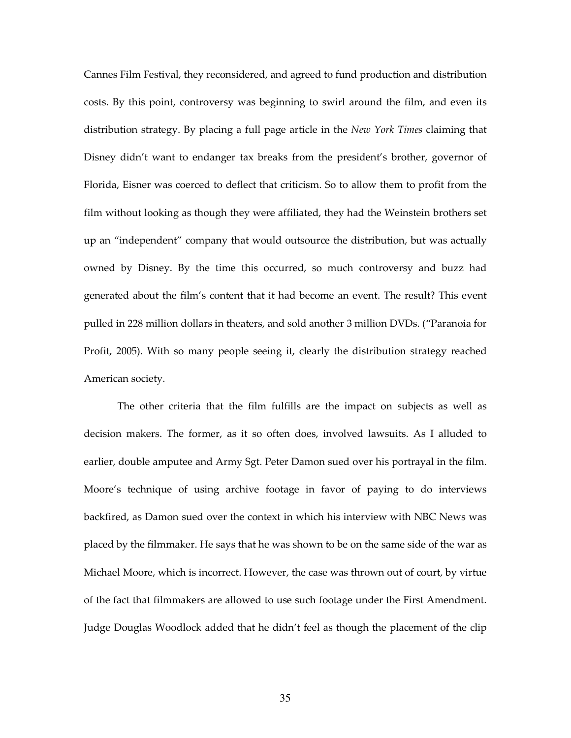Cannes Film Festival, they reconsidered, and agreed to fund production and distribution costs. By this point, controversy was beginning to swirl around the film, and even its distribution strategy. By placing a full page article in the *New York Times* claiming that Disney didn't want to endanger tax breaks from the president's brother, governor of Florida, Eisner was coerced to deflect that criticism. So to allow them to profit from the film without looking as though they were affiliated, they had the Weinstein brothers set up an "independent" company that would outsource the distribution, but was actually owned by Disney. By the time this occurred, so much controversy and buzz had generated about the film's content that it had become an event. The result? This event pulled in 228 million dollars in theaters, and sold another 3 million DVDs. ("Paranoia for Profit, 2005). With so many people seeing it, clearly the distribution strategy reached American society.

 The other criteria that the film fulfills are the impact on subjects as well as decision makers. The former, as it so often does, involved lawsuits. As I alluded to earlier, double amputee and Army Sgt. Peter Damon sued over his portrayal in the film. Moore's technique of using archive footage in favor of paying to do interviews backfired, as Damon sued over the context in which his interview with NBC News was placed by the filmmaker. He says that he was shown to be on the same side of the war as Michael Moore, which is incorrect. However, the case was thrown out of court, by virtue of the fact that filmmakers are allowed to use such footage under the First Amendment. Judge Douglas Woodlock added that he didn't feel as though the placement of the clip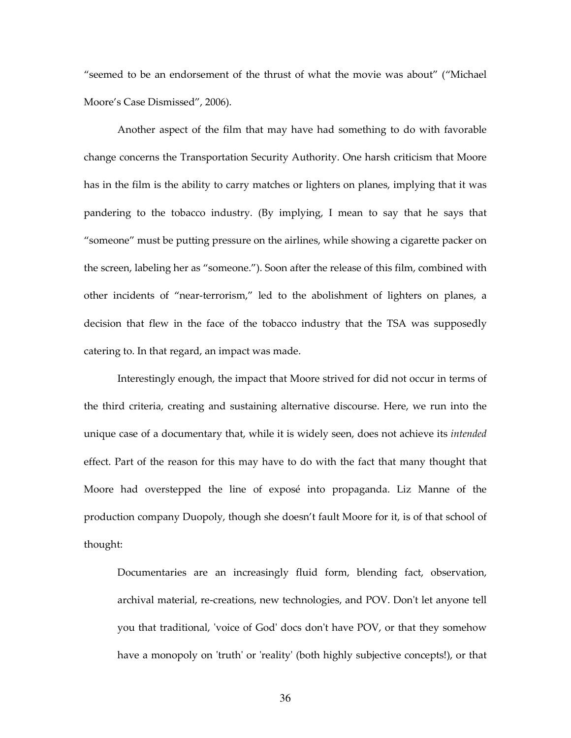"seemed to be an endorsement of the thrust of what the movie was about" ("Michael Moore's Case Dismissed", 2006).

 Another aspect of the film that may have had something to do with favorable change concerns the Transportation Security Authority. One harsh criticism that Moore has in the film is the ability to carry matches or lighters on planes, implying that it was pandering to the tobacco industry. (By implying, I mean to say that he says that "someone" must be putting pressure on the airlines, while showing a cigarette packer on the screen, labeling her as "someone."). Soon after the release of this film, combined with other incidents of "near-terrorism," led to the abolishment of lighters on planes, a decision that flew in the face of the tobacco industry that the TSA was supposedly catering to. In that regard, an impact was made.

 Interestingly enough, the impact that Moore strived for did not occur in terms of the third criteria, creating and sustaining alternative discourse. Here, we run into the unique case of a documentary that, while it is widely seen, does not achieve its *intended* effect. Part of the reason for this may have to do with the fact that many thought that Moore had overstepped the line of exposé into propaganda. Liz Manne of the production company Duopoly, though she doesn't fault Moore for it, is of that school of thought:

Documentaries are an increasingly fluid form, blending fact, observation, archival material, re-creations, new technologies, and POV. Don't let anyone tell you that traditional, 'voice of God' docs don't have POV, or that they somehow have a monopoly on 'truth' or 'reality' (both highly subjective concepts!), or that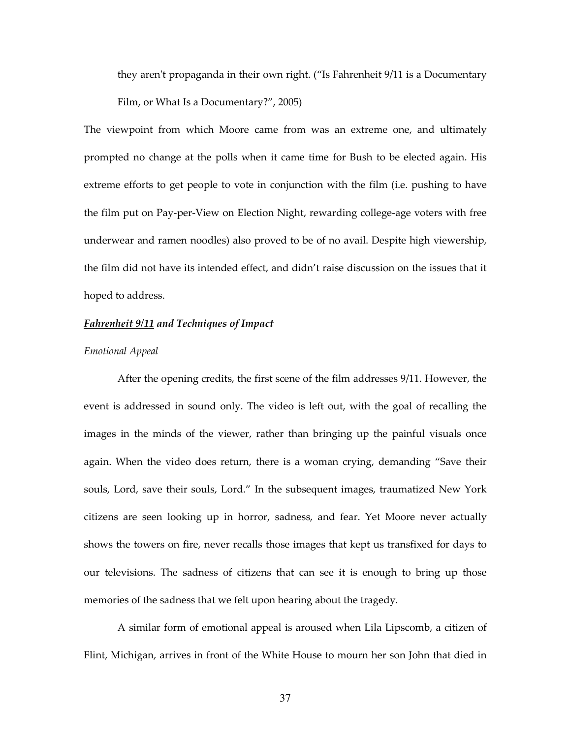they aren't propaganda in their own right. ("Is Fahrenheit 9/11 is a Documentary Film, or What Is a Documentary?", 2005)

The viewpoint from which Moore came from was an extreme one, and ultimately prompted no change at the polls when it came time for Bush to be elected again. His extreme efforts to get people to vote in conjunction with the film (i.e. pushing to have the film put on Pay-per-View on Election Night, rewarding college-age voters with free underwear and ramen noodles) also proved to be of no avail. Despite high viewership, the film did not have its intended effect, and didn't raise discussion on the issues that it hoped to address.

# Fahrenheit 9/11 and Techniques of Impact

## Emotional Appeal

After the opening credits, the first scene of the film addresses 9/11. However, the event is addressed in sound only. The video is left out, with the goal of recalling the images in the minds of the viewer, rather than bringing up the painful visuals once again. When the video does return, there is a woman crying, demanding "Save their souls, Lord, save their souls, Lord." In the subsequent images, traumatized New York citizens are seen looking up in horror, sadness, and fear. Yet Moore never actually shows the towers on fire, never recalls those images that kept us transfixed for days to our televisions. The sadness of citizens that can see it is enough to bring up those memories of the sadness that we felt upon hearing about the tragedy.

 A similar form of emotional appeal is aroused when Lila Lipscomb, a citizen of Flint, Michigan, arrives in front of the White House to mourn her son John that died in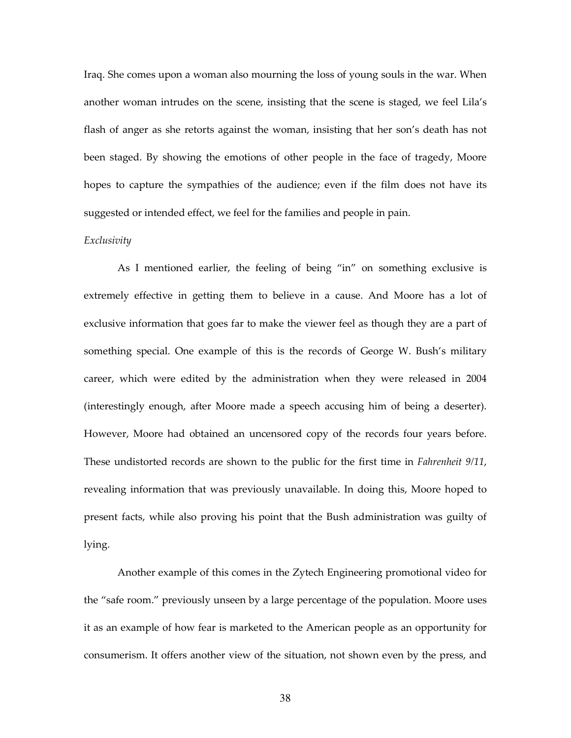Iraq. She comes upon a woman also mourning the loss of young souls in the war. When another woman intrudes on the scene, insisting that the scene is staged, we feel Lila's flash of anger as she retorts against the woman, insisting that her son's death has not been staged. By showing the emotions of other people in the face of tragedy, Moore hopes to capture the sympathies of the audience; even if the film does not have its suggested or intended effect, we feel for the families and people in pain.

#### Exclusivity

As I mentioned earlier, the feeling of being "in" on something exclusive is extremely effective in getting them to believe in a cause. And Moore has a lot of exclusive information that goes far to make the viewer feel as though they are a part of something special. One example of this is the records of George W. Bush's military career, which were edited by the administration when they were released in 2004 (interestingly enough, after Moore made a speech accusing him of being a deserter). However, Moore had obtained an uncensored copy of the records four years before. These undistorted records are shown to the public for the first time in Fahrenheit 9/11, revealing information that was previously unavailable. In doing this, Moore hoped to present facts, while also proving his point that the Bush administration was guilty of lying.

 Another example of this comes in the Zytech Engineering promotional video for the "safe room." previously unseen by a large percentage of the population. Moore uses it as an example of how fear is marketed to the American people as an opportunity for consumerism. It offers another view of the situation, not shown even by the press, and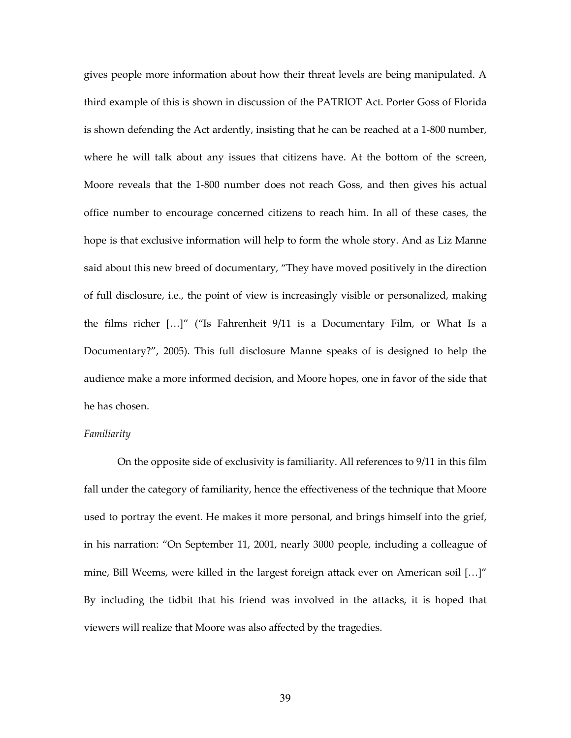gives people more information about how their threat levels are being manipulated. A third example of this is shown in discussion of the PATRIOT Act. Porter Goss of Florida is shown defending the Act ardently, insisting that he can be reached at a 1-800 number, where he will talk about any issues that citizens have. At the bottom of the screen, Moore reveals that the 1-800 number does not reach Goss, and then gives his actual office number to encourage concerned citizens to reach him. In all of these cases, the hope is that exclusive information will help to form the whole story. And as Liz Manne said about this new breed of documentary, "They have moved positively in the direction of full disclosure, i.e., the point of view is increasingly visible or personalized, making the films richer […]" ("Is Fahrenheit 9/11 is a Documentary Film, or What Is a Documentary?", 2005). This full disclosure Manne speaks of is designed to help the audience make a more informed decision, and Moore hopes, one in favor of the side that he has chosen.

## Familiarity

On the opposite side of exclusivity is familiarity. All references to 9/11 in this film fall under the category of familiarity, hence the effectiveness of the technique that Moore used to portray the event. He makes it more personal, and brings himself into the grief, in his narration: "On September 11, 2001, nearly 3000 people, including a colleague of mine, Bill Weems, were killed in the largest foreign attack ever on American soil […]" By including the tidbit that his friend was involved in the attacks, it is hoped that viewers will realize that Moore was also affected by the tragedies.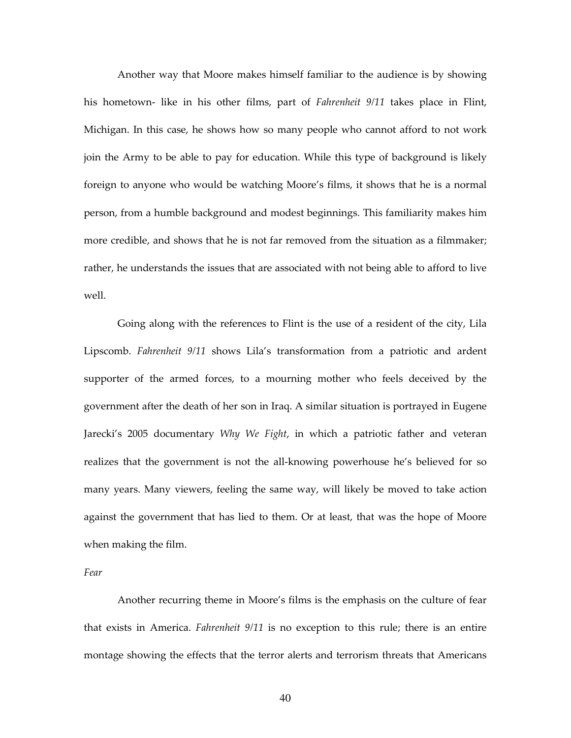Another way that Moore makes himself familiar to the audience is by showing his hometown- like in his other films, part of Fahrenheit 9/11 takes place in Flint, Michigan. In this case, he shows how so many people who cannot afford to not work join the Army to be able to pay for education. While this type of background is likely foreign to anyone who would be watching Moore's films, it shows that he is a normal person, from a humble background and modest beginnings. This familiarity makes him more credible, and shows that he is not far removed from the situation as a filmmaker; rather, he understands the issues that are associated with not being able to afford to live well.

Going along with the references to Flint is the use of a resident of the city, Lila Lipscomb. Fahrenheit 9/11 shows Lila's transformation from a patriotic and ardent supporter of the armed forces, to a mourning mother who feels deceived by the government after the death of her son in Iraq. A similar situation is portrayed in Eugene Jarecki's 2005 documentary Why We Fight, in which a patriotic father and veteran realizes that the government is not the all-knowing powerhouse he's believed for so many years. Many viewers, feeling the same way, will likely be moved to take action against the government that has lied to them. Or at least, that was the hope of Moore when making the film.

Fear

 Another recurring theme in Moore's films is the emphasis on the culture of fear that exists in America. Fahrenheit 9/11 is no exception to this rule; there is an entire montage showing the effects that the terror alerts and terrorism threats that Americans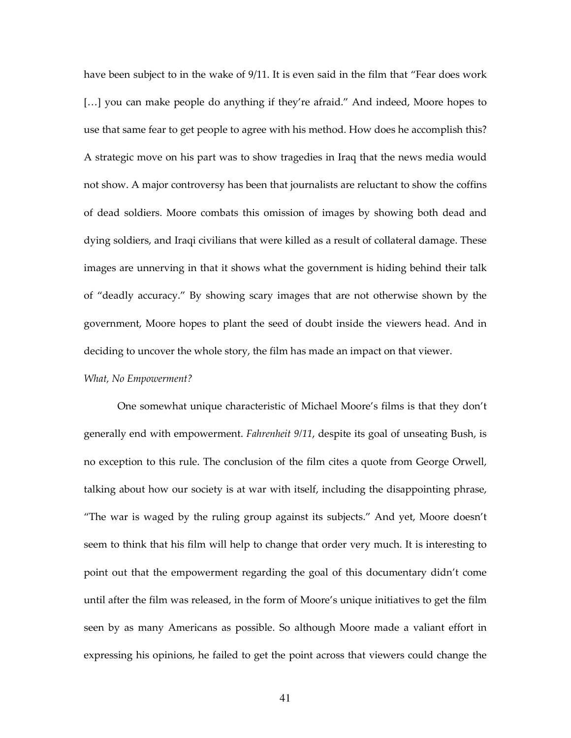have been subject to in the wake of 9/11. It is even said in the film that "Fear does work [...] you can make people do anything if they're afraid." And indeed, Moore hopes to use that same fear to get people to agree with his method. How does he accomplish this? A strategic move on his part was to show tragedies in Iraq that the news media would not show. A major controversy has been that journalists are reluctant to show the coffins of dead soldiers. Moore combats this omission of images by showing both dead and dying soldiers, and Iraqi civilians that were killed as a result of collateral damage. These images are unnerving in that it shows what the government is hiding behind their talk of "deadly accuracy." By showing scary images that are not otherwise shown by the government, Moore hopes to plant the seed of doubt inside the viewers head. And in deciding to uncover the whole story, the film has made an impact on that viewer.

# What, No Empowerment?

 One somewhat unique characteristic of Michael Moore's films is that they don't generally end with empowerment. Fahrenheit 9/11, despite its goal of unseating Bush, is no exception to this rule. The conclusion of the film cites a quote from George Orwell, talking about how our society is at war with itself, including the disappointing phrase, "The war is waged by the ruling group against its subjects." And yet, Moore doesn't seem to think that his film will help to change that order very much. It is interesting to point out that the empowerment regarding the goal of this documentary didn't come until after the film was released, in the form of Moore's unique initiatives to get the film seen by as many Americans as possible. So although Moore made a valiant effort in expressing his opinions, he failed to get the point across that viewers could change the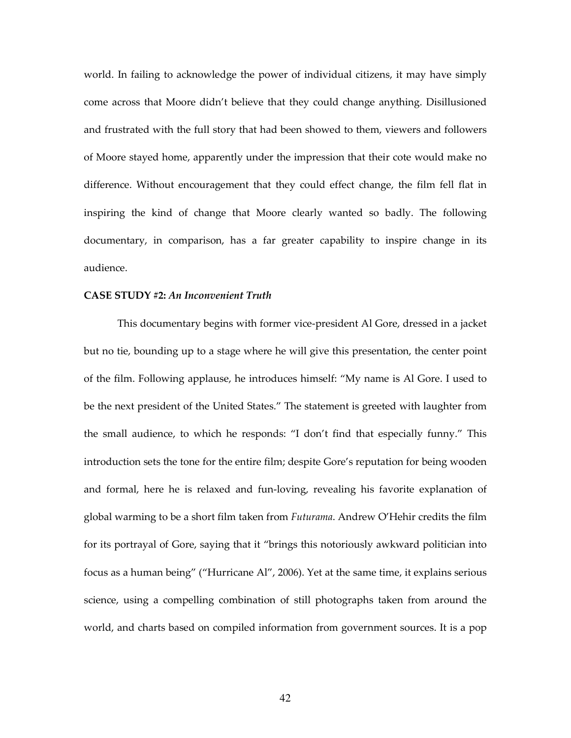world. In failing to acknowledge the power of individual citizens, it may have simply come across that Moore didn't believe that they could change anything. Disillusioned and frustrated with the full story that had been showed to them, viewers and followers of Moore stayed home, apparently under the impression that their cote would make no difference. Without encouragement that they could effect change, the film fell flat in inspiring the kind of change that Moore clearly wanted so badly. The following documentary, in comparison, has a far greater capability to inspire change in its audience.

#### CASE STUDY #2: An Inconvenient Truth

This documentary begins with former vice-president Al Gore, dressed in a jacket but no tie, bounding up to a stage where he will give this presentation, the center point of the film. Following applause, he introduces himself: "My name is Al Gore. I used to be the next president of the United States." The statement is greeted with laughter from the small audience, to which he responds: "I don't find that especially funny." This introduction sets the tone for the entire film; despite Gore's reputation for being wooden and formal, here he is relaxed and fun-loving, revealing his favorite explanation of global warming to be a short film taken from Futurama. Andrew O'Hehir credits the film for its portrayal of Gore, saying that it "brings this notoriously awkward politician into focus as a human being" ("Hurricane Al", 2006). Yet at the same time, it explains serious science, using a compelling combination of still photographs taken from around the world, and charts based on compiled information from government sources. It is a pop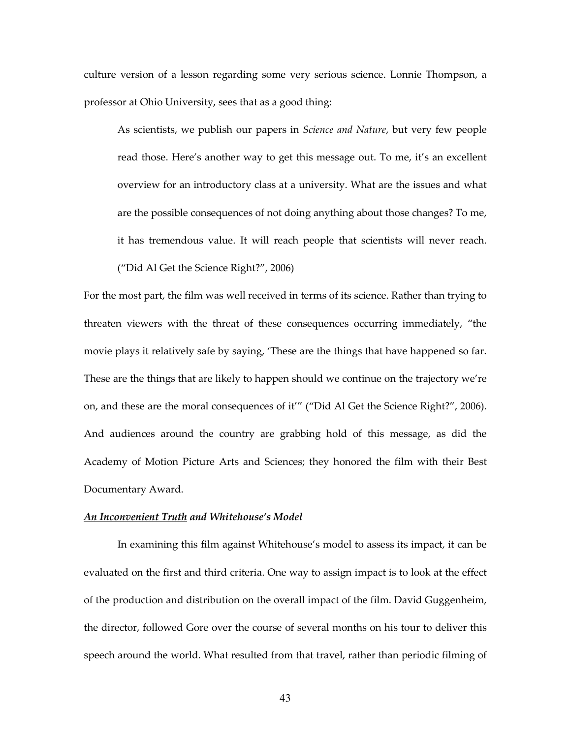culture version of a lesson regarding some very serious science. Lonnie Thompson, a professor at Ohio University, sees that as a good thing:

As scientists, we publish our papers in Science and Nature, but very few people read those. Here's another way to get this message out. To me, it's an excellent overview for an introductory class at a university. What are the issues and what are the possible consequences of not doing anything about those changes? To me, it has tremendous value. It will reach people that scientists will never reach. ("Did Al Get the Science Right?", 2006)

For the most part, the film was well received in terms of its science. Rather than trying to threaten viewers with the threat of these consequences occurring immediately, "the movie plays it relatively safe by saying, 'These are the things that have happened so far. These are the things that are likely to happen should we continue on the trajectory we're on, and these are the moral consequences of it'" ("Did Al Get the Science Right?", 2006). And audiences around the country are grabbing hold of this message, as did the Academy of Motion Picture Arts and Sciences; they honored the film with their Best Documentary Award.

# An Inconvenient Truth and Whitehouse's Model

 In examining this film against Whitehouse's model to assess its impact, it can be evaluated on the first and third criteria. One way to assign impact is to look at the effect of the production and distribution on the overall impact of the film. David Guggenheim, the director, followed Gore over the course of several months on his tour to deliver this speech around the world. What resulted from that travel, rather than periodic filming of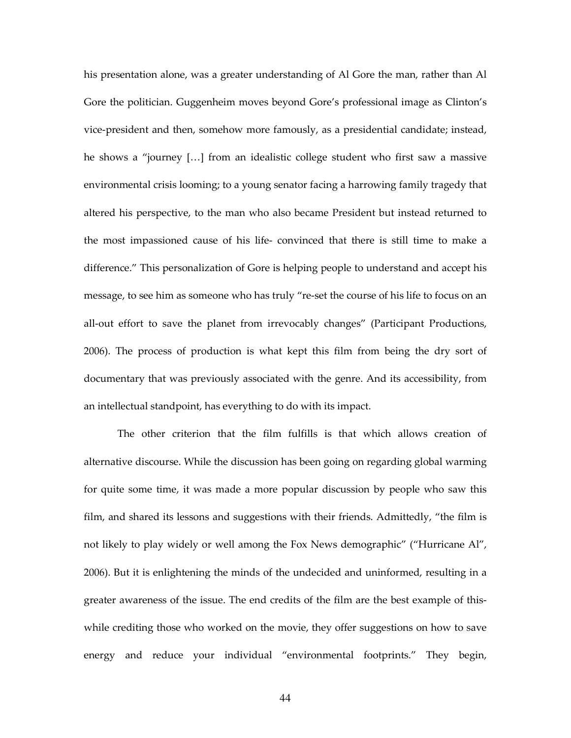his presentation alone, was a greater understanding of Al Gore the man, rather than Al Gore the politician. Guggenheim moves beyond Gore's professional image as Clinton's vice-president and then, somehow more famously, as a presidential candidate; instead, he shows a "journey […] from an idealistic college student who first saw a massive environmental crisis looming; to a young senator facing a harrowing family tragedy that altered his perspective, to the man who also became President but instead returned to the most impassioned cause of his life- convinced that there is still time to make a difference." This personalization of Gore is helping people to understand and accept his message, to see him as someone who has truly "re-set the course of his life to focus on an all-out effort to save the planet from irrevocably changes" (Participant Productions, 2006). The process of production is what kept this film from being the dry sort of documentary that was previously associated with the genre. And its accessibility, from an intellectual standpoint, has everything to do with its impact.

 The other criterion that the film fulfills is that which allows creation of alternative discourse. While the discussion has been going on regarding global warming for quite some time, it was made a more popular discussion by people who saw this film, and shared its lessons and suggestions with their friends. Admittedly, "the film is not likely to play widely or well among the Fox News demographic" ("Hurricane Al", 2006). But it is enlightening the minds of the undecided and uninformed, resulting in a greater awareness of the issue. The end credits of the film are the best example of thiswhile crediting those who worked on the movie, they offer suggestions on how to save energy and reduce your individual "environmental footprints." They begin,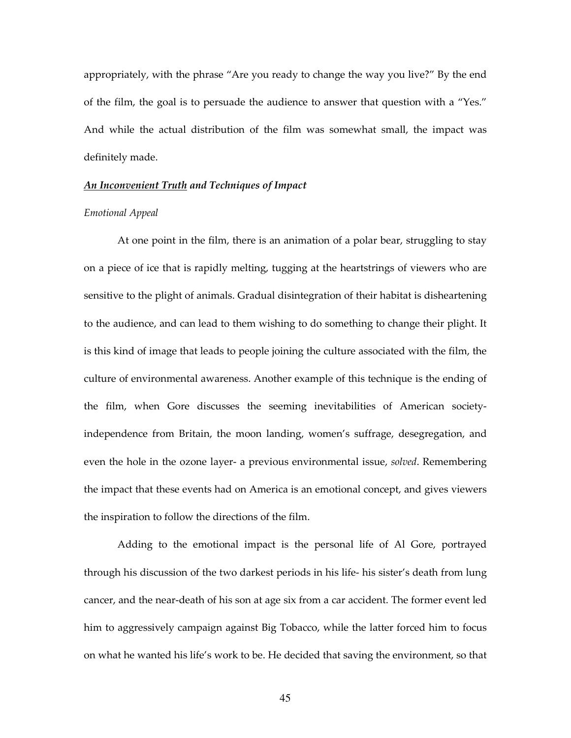appropriately, with the phrase "Are you ready to change the way you live?" By the end of the film, the goal is to persuade the audience to answer that question with a "Yes." And while the actual distribution of the film was somewhat small, the impact was definitely made.

## An Inconvenient Truth and Techniques of Impact

## Emotional Appeal

 At one point in the film, there is an animation of a polar bear, struggling to stay on a piece of ice that is rapidly melting, tugging at the heartstrings of viewers who are sensitive to the plight of animals. Gradual disintegration of their habitat is disheartening to the audience, and can lead to them wishing to do something to change their plight. It is this kind of image that leads to people joining the culture associated with the film, the culture of environmental awareness. Another example of this technique is the ending of the film, when Gore discusses the seeming inevitabilities of American societyindependence from Britain, the moon landing, women's suffrage, desegregation, and even the hole in the ozone layer- a previous environmental issue, solved. Remembering the impact that these events had on America is an emotional concept, and gives viewers the inspiration to follow the directions of the film.

 Adding to the emotional impact is the personal life of Al Gore, portrayed through his discussion of the two darkest periods in his life- his sister's death from lung cancer, and the near-death of his son at age six from a car accident. The former event led him to aggressively campaign against Big Tobacco, while the latter forced him to focus on what he wanted his life's work to be. He decided that saving the environment, so that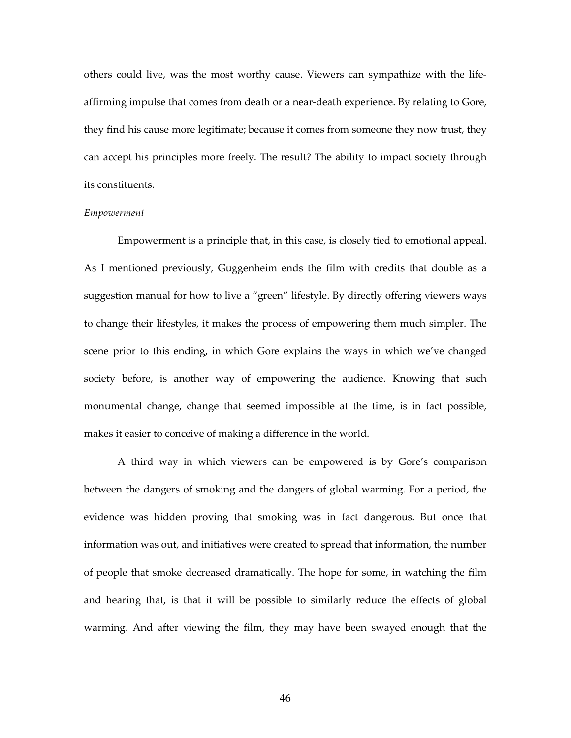others could live, was the most worthy cause. Viewers can sympathize with the lifeaffirming impulse that comes from death or a near-death experience. By relating to Gore, they find his cause more legitimate; because it comes from someone they now trust, they can accept his principles more freely. The result? The ability to impact society through its constituents.

## Empowerment

 Empowerment is a principle that, in this case, is closely tied to emotional appeal. As I mentioned previously, Guggenheim ends the film with credits that double as a suggestion manual for how to live a "green" lifestyle. By directly offering viewers ways to change their lifestyles, it makes the process of empowering them much simpler. The scene prior to this ending, in which Gore explains the ways in which we've changed society before, is another way of empowering the audience. Knowing that such monumental change, change that seemed impossible at the time, is in fact possible, makes it easier to conceive of making a difference in the world.

 A third way in which viewers can be empowered is by Gore's comparison between the dangers of smoking and the dangers of global warming. For a period, the evidence was hidden proving that smoking was in fact dangerous. But once that information was out, and initiatives were created to spread that information, the number of people that smoke decreased dramatically. The hope for some, in watching the film and hearing that, is that it will be possible to similarly reduce the effects of global warming. And after viewing the film, they may have been swayed enough that the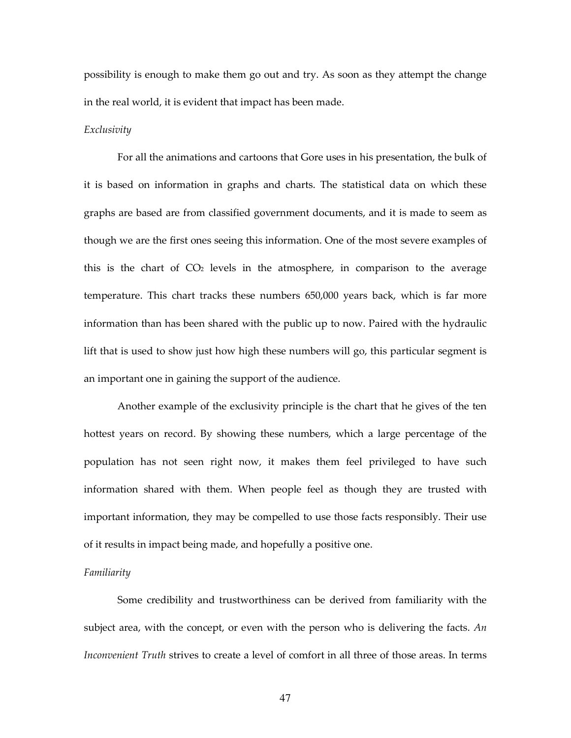possibility is enough to make them go out and try. As soon as they attempt the change in the real world, it is evident that impact has been made.

## Exclusivity

 For all the animations and cartoons that Gore uses in his presentation, the bulk of it is based on information in graphs and charts. The statistical data on which these graphs are based are from classified government documents, and it is made to seem as though we are the first ones seeing this information. One of the most severe examples of this is the chart of  $CO<sub>2</sub>$  levels in the atmosphere, in comparison to the average temperature. This chart tracks these numbers 650,000 years back, which is far more information than has been shared with the public up to now. Paired with the hydraulic lift that is used to show just how high these numbers will go, this particular segment is an important one in gaining the support of the audience.

 Another example of the exclusivity principle is the chart that he gives of the ten hottest years on record. By showing these numbers, which a large percentage of the population has not seen right now, it makes them feel privileged to have such information shared with them. When people feel as though they are trusted with important information, they may be compelled to use those facts responsibly. Their use of it results in impact being made, and hopefully a positive one.

#### Familiarity

 Some credibility and trustworthiness can be derived from familiarity with the subject area, with the concept, or even with the person who is delivering the facts.  $An$ Inconvenient Truth strives to create a level of comfort in all three of those areas. In terms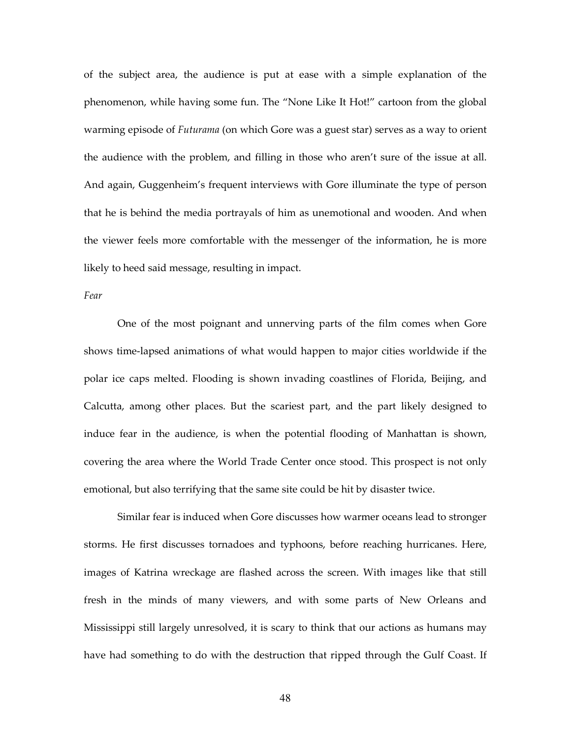of the subject area, the audience is put at ease with a simple explanation of the phenomenon, while having some fun. The "None Like It Hot!" cartoon from the global warming episode of *Futurama* (on which Gore was a guest star) serves as a way to orient the audience with the problem, and filling in those who aren't sure of the issue at all. And again, Guggenheim's frequent interviews with Gore illuminate the type of person that he is behind the media portrayals of him as unemotional and wooden. And when the viewer feels more comfortable with the messenger of the information, he is more likely to heed said message, resulting in impact.

#### Fear

 One of the most poignant and unnerving parts of the film comes when Gore shows time-lapsed animations of what would happen to major cities worldwide if the polar ice caps melted. Flooding is shown invading coastlines of Florida, Beijing, and Calcutta, among other places. But the scariest part, and the part likely designed to induce fear in the audience, is when the potential flooding of Manhattan is shown, covering the area where the World Trade Center once stood. This prospect is not only emotional, but also terrifying that the same site could be hit by disaster twice.

 Similar fear is induced when Gore discusses how warmer oceans lead to stronger storms. He first discusses tornadoes and typhoons, before reaching hurricanes. Here, images of Katrina wreckage are flashed across the screen. With images like that still fresh in the minds of many viewers, and with some parts of New Orleans and Mississippi still largely unresolved, it is scary to think that our actions as humans may have had something to do with the destruction that ripped through the Gulf Coast. If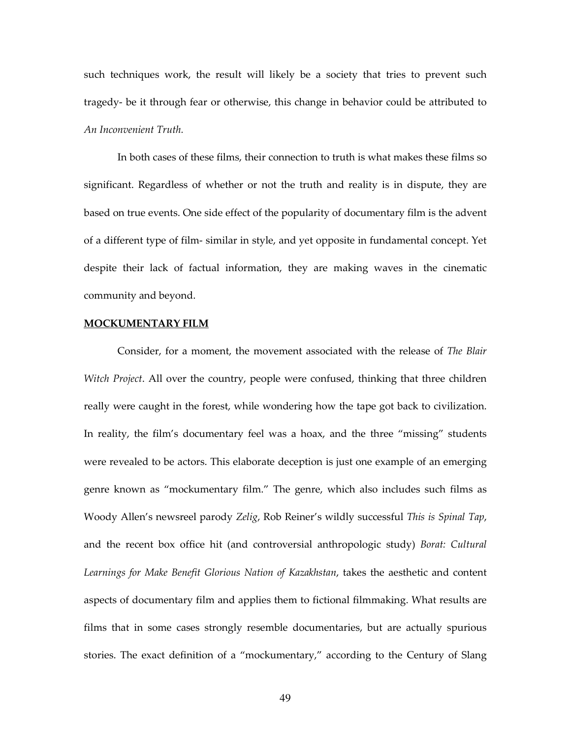such techniques work, the result will likely be a society that tries to prevent such tragedy- be it through fear or otherwise, this change in behavior could be attributed to An Inconvenient Truth.

 In both cases of these films, their connection to truth is what makes these films so significant. Regardless of whether or not the truth and reality is in dispute, they are based on true events. One side effect of the popularity of documentary film is the advent of a different type of film- similar in style, and yet opposite in fundamental concept. Yet despite their lack of factual information, they are making waves in the cinematic community and beyond.

## MOCKUMENTARY FILM

 Consider, for a moment, the movement associated with the release of The Blair Witch Project. All over the country, people were confused, thinking that three children really were caught in the forest, while wondering how the tape got back to civilization. In reality, the film's documentary feel was a hoax, and the three "missing" students were revealed to be actors. This elaborate deception is just one example of an emerging genre known as "mockumentary film." The genre, which also includes such films as Woody Allen's newsreel parody Zelig, Rob Reiner's wildly successful This is Spinal Tap, and the recent box office hit (and controversial anthropologic study) Borat: Cultural Learnings for Make Benefit Glorious Nation of Kazakhstan, takes the aesthetic and content aspects of documentary film and applies them to fictional filmmaking. What results are films that in some cases strongly resemble documentaries, but are actually spurious stories. The exact definition of a "mockumentary," according to the Century of Slang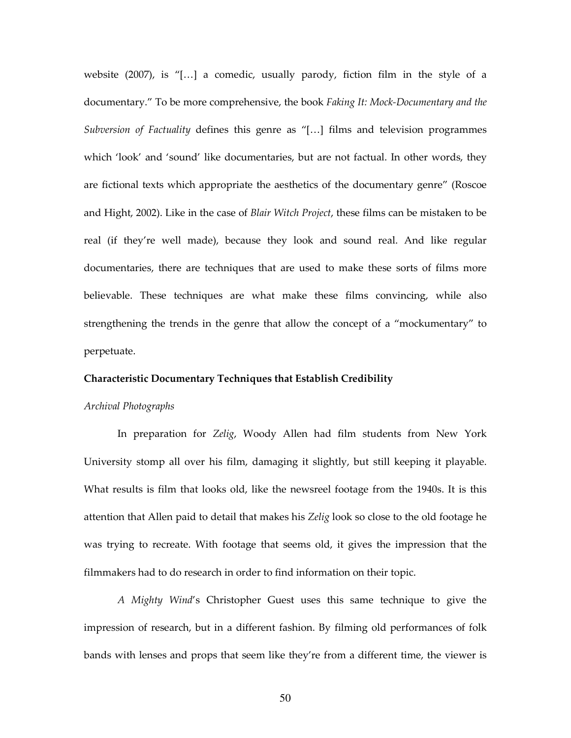website  $(2007)$ , is "[...] a comedic, usually parody, fiction film in the style of a documentary." To be more comprehensive, the book Faking It: Mock-Documentary and the Subversion of Factuality defines this genre as "[…] films and television programmes which 'look' and 'sound' like documentaries, but are not factual. In other words, they are fictional texts which appropriate the aesthetics of the documentary genre" (Roscoe and Hight, 2002). Like in the case of Blair Witch Project, these films can be mistaken to be real (if they're well made), because they look and sound real. And like regular documentaries, there are techniques that are used to make these sorts of films more believable. These techniques are what make these films convincing, while also strengthening the trends in the genre that allow the concept of a "mockumentary" to perpetuate.

# Characteristic Documentary Techniques that Establish Credibility

#### Archival Photographs

In preparation for Zelig, Woody Allen had film students from New York University stomp all over his film, damaging it slightly, but still keeping it playable. What results is film that looks old, like the newsreel footage from the 1940s. It is this attention that Allen paid to detail that makes his Zelig look so close to the old footage he was trying to recreate. With footage that seems old, it gives the impression that the filmmakers had to do research in order to find information on their topic.

A Mighty Wind's Christopher Guest uses this same technique to give the impression of research, but in a different fashion. By filming old performances of folk bands with lenses and props that seem like they're from a different time, the viewer is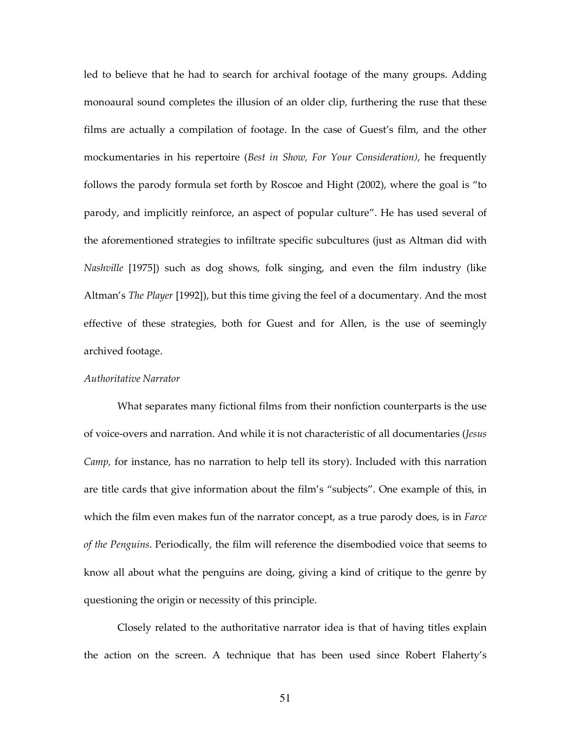led to believe that he had to search for archival footage of the many groups. Adding monoaural sound completes the illusion of an older clip, furthering the ruse that these films are actually a compilation of footage. In the case of Guest's film, and the other mockumentaries in his repertoire (Best in Show, For Your Consideration), he frequently follows the parody formula set forth by Roscoe and Hight (2002), where the goal is "to parody, and implicitly reinforce, an aspect of popular culture". He has used several of the aforementioned strategies to infiltrate specific subcultures (just as Altman did with Nashville [1975]) such as dog shows, folk singing, and even the film industry (like Altman's The Player [1992]), but this time giving the feel of a documentary. And the most effective of these strategies, both for Guest and for Allen, is the use of seemingly archived footage.

# Authoritative Narrator

What separates many fictional films from their nonfiction counterparts is the use of voice-overs and narration. And while it is not characteristic of all documentaries (Jesus Camp, for instance, has no narration to help tell its story). Included with this narration are title cards that give information about the film's "subjects". One example of this, in which the film even makes fun of the narrator concept, as a true parody does, is in Farce of the Penguins. Periodically, the film will reference the disembodied voice that seems to know all about what the penguins are doing, giving a kind of critique to the genre by questioning the origin or necessity of this principle.

 Closely related to the authoritative narrator idea is that of having titles explain the action on the screen. A technique that has been used since Robert Flaherty's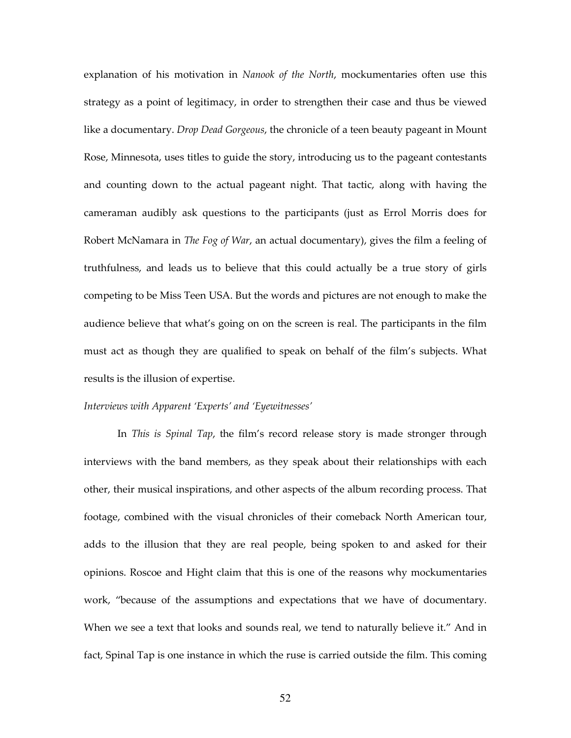explanation of his motivation in Nanook of the North, mockumentaries often use this strategy as a point of legitimacy, in order to strengthen their case and thus be viewed like a documentary. *Drop Dead Gorgeous*, the chronicle of a teen beauty pageant in Mount Rose, Minnesota, uses titles to guide the story, introducing us to the pageant contestants and counting down to the actual pageant night. That tactic, along with having the cameraman audibly ask questions to the participants (just as Errol Morris does for Robert McNamara in *The Fog of War*, an actual documentary), gives the film a feeling of truthfulness, and leads us to believe that this could actually be a true story of girls competing to be Miss Teen USA. But the words and pictures are not enough to make the audience believe that what's going on on the screen is real. The participants in the film must act as though they are qualified to speak on behalf of the film's subjects. What results is the illusion of expertise.

## Interviews with Apparent 'Experts' and 'Eyewitnesses'

In *This is Spinal Tap*, the film's record release story is made stronger through interviews with the band members, as they speak about their relationships with each other, their musical inspirations, and other aspects of the album recording process. That footage, combined with the visual chronicles of their comeback North American tour, adds to the illusion that they are real people, being spoken to and asked for their opinions. Roscoe and Hight claim that this is one of the reasons why mockumentaries work, "because of the assumptions and expectations that we have of documentary. When we see a text that looks and sounds real, we tend to naturally believe it." And in fact, Spinal Tap is one instance in which the ruse is carried outside the film. This coming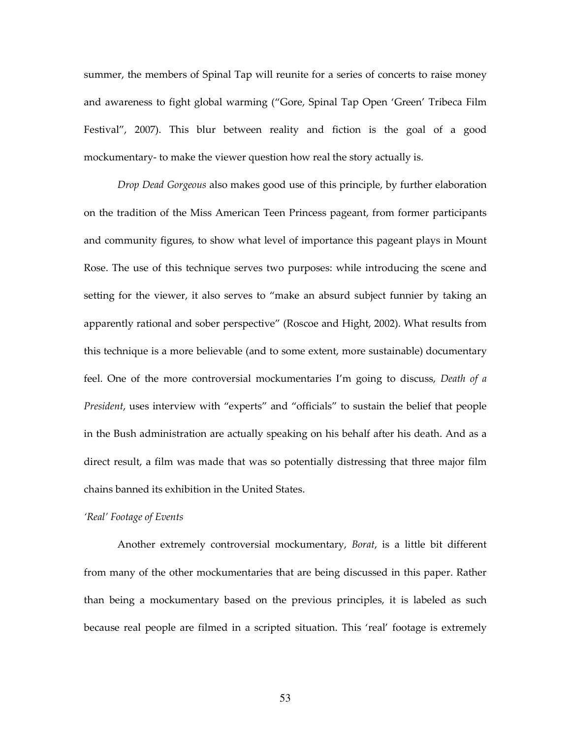summer, the members of Spinal Tap will reunite for a series of concerts to raise money and awareness to fight global warming ("Gore, Spinal Tap Open 'Green' Tribeca Film Festival", 2007). This blur between reality and fiction is the goal of a good mockumentary- to make the viewer question how real the story actually is.

Drop Dead Gorgeous also makes good use of this principle, by further elaboration on the tradition of the Miss American Teen Princess pageant, from former participants and community figures, to show what level of importance this pageant plays in Mount Rose. The use of this technique serves two purposes: while introducing the scene and setting for the viewer, it also serves to "make an absurd subject funnier by taking an apparently rational and sober perspective" (Roscoe and Hight, 2002). What results from this technique is a more believable (and to some extent, more sustainable) documentary feel. One of the more controversial mockumentaries I'm going to discuss, Death of a President, uses interview with "experts" and "officials" to sustain the belief that people in the Bush administration are actually speaking on his behalf after his death. And as a direct result, a film was made that was so potentially distressing that three major film chains banned its exhibition in the United States.

#### 'Real' Footage of Events

Another extremely controversial mockumentary, Borat, is a little bit different from many of the other mockumentaries that are being discussed in this paper. Rather than being a mockumentary based on the previous principles, it is labeled as such because real people are filmed in a scripted situation. This 'real' footage is extremely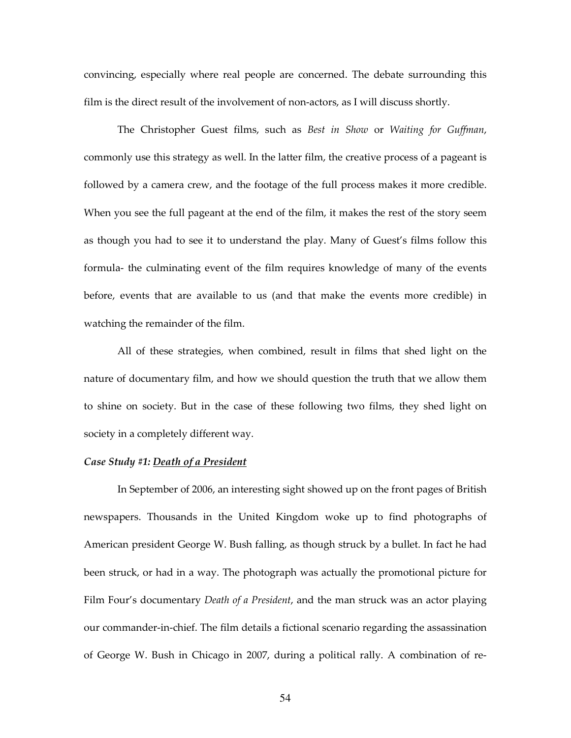convincing, especially where real people are concerned. The debate surrounding this film is the direct result of the involvement of non-actors, as I will discuss shortly.

The Christopher Guest films, such as Best in Show or Waiting for Guffman, commonly use this strategy as well. In the latter film, the creative process of a pageant is followed by a camera crew, and the footage of the full process makes it more credible. When you see the full pageant at the end of the film, it makes the rest of the story seem as though you had to see it to understand the play. Many of Guest's films follow this formula- the culminating event of the film requires knowledge of many of the events before, events that are available to us (and that make the events more credible) in watching the remainder of the film.

 All of these strategies, when combined, result in films that shed light on the nature of documentary film, and how we should question the truth that we allow them to shine on society. But in the case of these following two films, they shed light on society in a completely different way.

## Case Study #1: Death of a President

 In September of 2006, an interesting sight showed up on the front pages of British newspapers. Thousands in the United Kingdom woke up to find photographs of American president George W. Bush falling, as though struck by a bullet. In fact he had been struck, or had in a way. The photograph was actually the promotional picture for Film Four's documentary Death of a President, and the man struck was an actor playing our commander-in-chief. The film details a fictional scenario regarding the assassination of George W. Bush in Chicago in 2007, during a political rally. A combination of re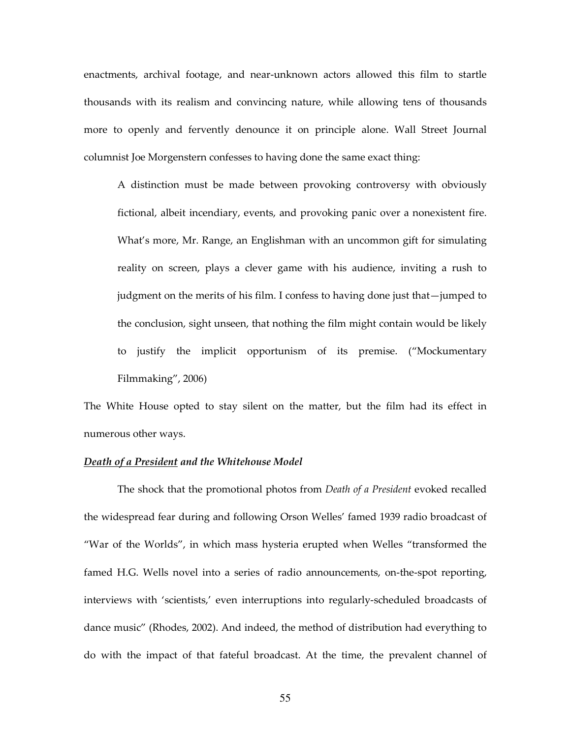enactments, archival footage, and near-unknown actors allowed this film to startle thousands with its realism and convincing nature, while allowing tens of thousands more to openly and fervently denounce it on principle alone. Wall Street Journal columnist Joe Morgenstern confesses to having done the same exact thing:

A distinction must be made between provoking controversy with obviously fictional, albeit incendiary, events, and provoking panic over a nonexistent fire. What's more, Mr. Range, an Englishman with an uncommon gift for simulating reality on screen, plays a clever game with his audience, inviting a rush to judgment on the merits of his film. I confess to having done just that—jumped to the conclusion, sight unseen, that nothing the film might contain would be likely to justify the implicit opportunism of its premise. ("Mockumentary Filmmaking", 2006)

The White House opted to stay silent on the matter, but the film had its effect in numerous other ways.

## Death of a President and the Whitehouse Model

The shock that the promotional photos from *Death of a President* evoked recalled the widespread fear during and following Orson Welles' famed 1939 radio broadcast of "War of the Worlds", in which mass hysteria erupted when Welles "transformed the famed H.G. Wells novel into a series of radio announcements, on-the-spot reporting, interviews with 'scientists,' even interruptions into regularly-scheduled broadcasts of dance music" (Rhodes, 2002). And indeed, the method of distribution had everything to do with the impact of that fateful broadcast. At the time, the prevalent channel of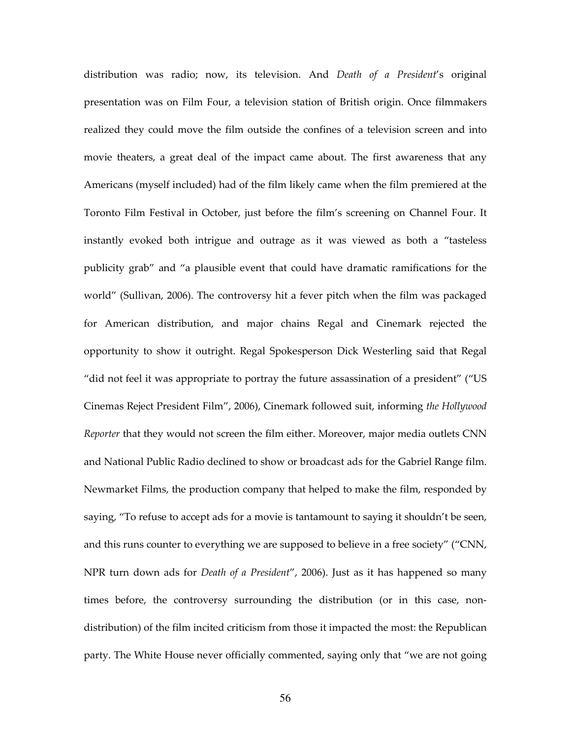distribution was radio; now, its television. And Death of a President's original presentation was on Film Four, a television station of British origin. Once filmmakers realized they could move the film outside the confines of a television screen and into movie theaters, a great deal of the impact came about. The first awareness that any Americans (myself included) had of the film likely came when the film premiered at the Toronto Film Festival in October, just before the film's screening on Channel Four. It instantly evoked both intrigue and outrage as it was viewed as both a "tasteless publicity grab" and "a plausible event that could have dramatic ramifications for the world" (Sullivan, 2006). The controversy hit a fever pitch when the film was packaged for American distribution, and major chains Regal and Cinemark rejected the opportunity to show it outright. Regal Spokesperson Dick Westerling said that Regal "did not feel it was appropriate to portray the future assassination of a president" ("US Cinemas Reject President Film", 2006), Cinemark followed suit, informing the Hollywood Reporter that they would not screen the film either. Moreover, major media outlets CNN and National Public Radio declined to show or broadcast ads for the Gabriel Range film. Newmarket Films, the production company that helped to make the film, responded by saying, "To refuse to accept ads for a movie is tantamount to saying it shouldn't be seen, and this runs counter to everything we are supposed to believe in a free society" ("CNN, NPR turn down ads for *Death of a President"*, 2006). Just as it has happened so many times before, the controversy surrounding the distribution (or in this case, nondistribution) of the film incited criticism from those it impacted the most: the Republican party. The White House never officially commented, saying only that "we are not going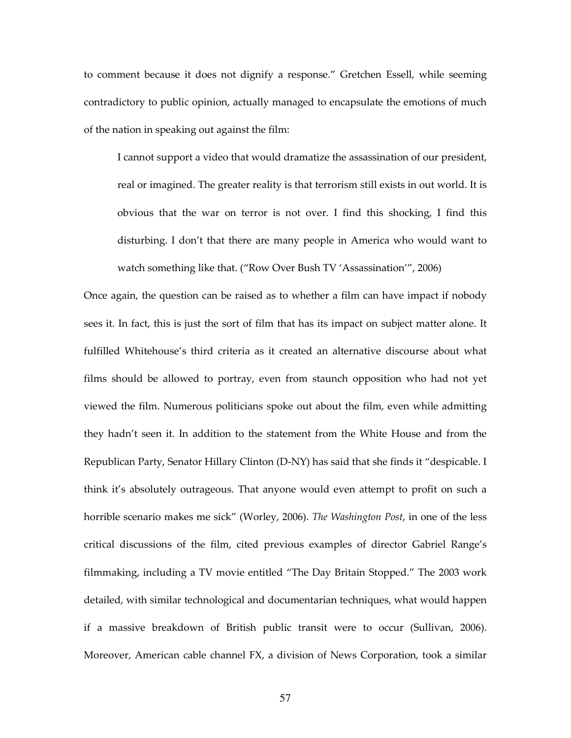to comment because it does not dignify a response." Gretchen Essell, while seeming contradictory to public opinion, actually managed to encapsulate the emotions of much of the nation in speaking out against the film:

I cannot support a video that would dramatize the assassination of our president, real or imagined. The greater reality is that terrorism still exists in out world. It is obvious that the war on terror is not over. I find this shocking, I find this disturbing. I don't that there are many people in America who would want to watch something like that. ("Row Over Bush TV 'Assassination'", 2006)

Once again, the question can be raised as to whether a film can have impact if nobody sees it. In fact, this is just the sort of film that has its impact on subject matter alone. It fulfilled Whitehouse's third criteria as it created an alternative discourse about what films should be allowed to portray, even from staunch opposition who had not yet viewed the film. Numerous politicians spoke out about the film, even while admitting they hadn't seen it. In addition to the statement from the White House and from the Republican Party, Senator Hillary Clinton (D-NY) has said that she finds it "despicable. I think it's absolutely outrageous. That anyone would even attempt to profit on such a horrible scenario makes me sick" (Worley, 2006). The Washington Post, in one of the less critical discussions of the film, cited previous examples of director Gabriel Range's filmmaking, including a TV movie entitled "The Day Britain Stopped." The 2003 work detailed, with similar technological and documentarian techniques, what would happen if a massive breakdown of British public transit were to occur (Sullivan, 2006). Moreover, American cable channel FX, a division of News Corporation, took a similar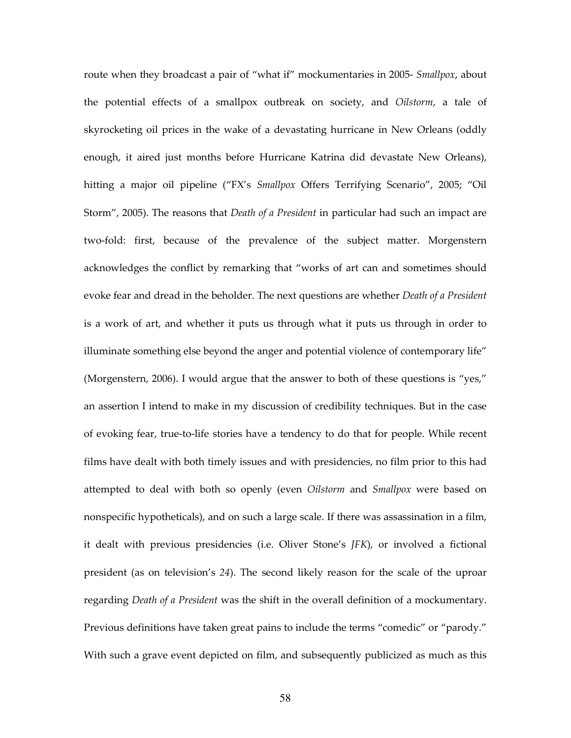route when they broadcast a pair of "what if" mockumentaries in 2005- Smallpox, about the potential effects of a smallpox outbreak on society, and Oilstorm, a tale of skyrocketing oil prices in the wake of a devastating hurricane in New Orleans (oddly enough, it aired just months before Hurricane Katrina did devastate New Orleans), hitting a major oil pipeline ("FX's Smallpox Offers Terrifying Scenario", 2005; "Oil Storm", 2005). The reasons that Death of a President in particular had such an impact are two-fold: first, because of the prevalence of the subject matter. Morgenstern acknowledges the conflict by remarking that "works of art can and sometimes should evoke fear and dread in the beholder. The next questions are whether Death of a President is a work of art, and whether it puts us through what it puts us through in order to illuminate something else beyond the anger and potential violence of contemporary life" (Morgenstern, 2006). I would argue that the answer to both of these questions is "yes," an assertion I intend to make in my discussion of credibility techniques. But in the case of evoking fear, true-to-life stories have a tendency to do that for people. While recent films have dealt with both timely issues and with presidencies, no film prior to this had attempted to deal with both so openly (even Oilstorm and Smallpox were based on nonspecific hypotheticals), and on such a large scale. If there was assassination in a film, it dealt with previous presidencies (i.e. Oliver Stone's JFK), or involved a fictional president (as on television's 24). The second likely reason for the scale of the uproar regarding *Death of a President* was the shift in the overall definition of a mockumentary. Previous definitions have taken great pains to include the terms "comedic" or "parody." With such a grave event depicted on film, and subsequently publicized as much as this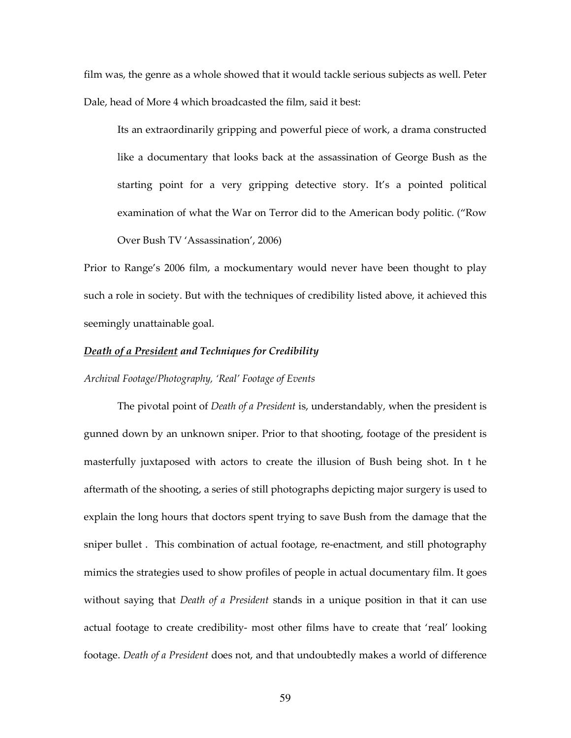film was, the genre as a whole showed that it would tackle serious subjects as well. Peter Dale, head of More 4 which broadcasted the film, said it best:

Its an extraordinarily gripping and powerful piece of work, a drama constructed like a documentary that looks back at the assassination of George Bush as the starting point for a very gripping detective story. It's a pointed political examination of what the War on Terror did to the American body politic. ("Row Over Bush TV 'Assassination', 2006)

Prior to Range's 2006 film, a mockumentary would never have been thought to play such a role in society. But with the techniques of credibility listed above, it achieved this seemingly unattainable goal.

## Death of a President and Techniques for Credibility

# Archival Footage/Photography, 'Real' Footage of Events

The pivotal point of *Death of a President* is, understandably, when the president is gunned down by an unknown sniper. Prior to that shooting, footage of the president is masterfully juxtaposed with actors to create the illusion of Bush being shot. In t he aftermath of the shooting, a series of still photographs depicting major surgery is used to explain the long hours that doctors spent trying to save Bush from the damage that the sniper bullet . This combination of actual footage, re-enactment, and still photography mimics the strategies used to show profiles of people in actual documentary film. It goes without saying that Death of a President stands in a unique position in that it can use actual footage to create credibility- most other films have to create that 'real' looking footage. Death of a President does not, and that undoubtedly makes a world of difference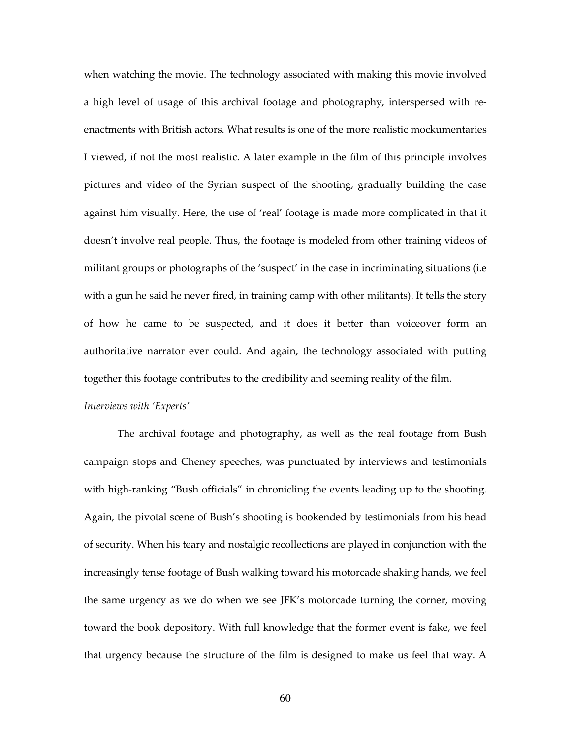when watching the movie. The technology associated with making this movie involved a high level of usage of this archival footage and photography, interspersed with reenactments with British actors. What results is one of the more realistic mockumentaries I viewed, if not the most realistic. A later example in the film of this principle involves pictures and video of the Syrian suspect of the shooting, gradually building the case against him visually. Here, the use of 'real' footage is made more complicated in that it doesn't involve real people. Thus, the footage is modeled from other training videos of militant groups or photographs of the 'suspect' in the case in incriminating situations (i.e with a gun he said he never fired, in training camp with other militants). It tells the story of how he came to be suspected, and it does it better than voiceover form an authoritative narrator ever could. And again, the technology associated with putting together this footage contributes to the credibility and seeming reality of the film.

# Interviews with 'Experts'

The archival footage and photography, as well as the real footage from Bush campaign stops and Cheney speeches, was punctuated by interviews and testimonials with high-ranking "Bush officials" in chronicling the events leading up to the shooting. Again, the pivotal scene of Bush's shooting is bookended by testimonials from his head of security. When his teary and nostalgic recollections are played in conjunction with the increasingly tense footage of Bush walking toward his motorcade shaking hands, we feel the same urgency as we do when we see JFK's motorcade turning the corner, moving toward the book depository. With full knowledge that the former event is fake, we feel that urgency because the structure of the film is designed to make us feel that way. A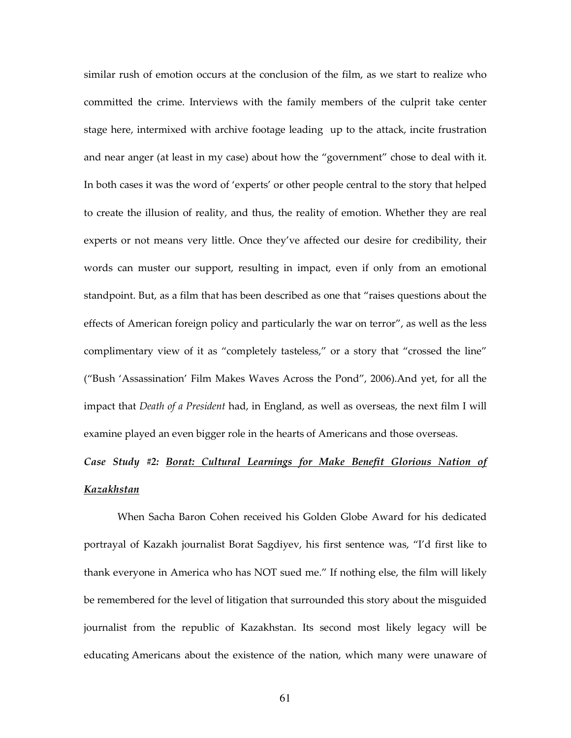similar rush of emotion occurs at the conclusion of the film, as we start to realize who committed the crime. Interviews with the family members of the culprit take center stage here, intermixed with archive footage leading up to the attack, incite frustration and near anger (at least in my case) about how the "government" chose to deal with it. In both cases it was the word of 'experts' or other people central to the story that helped to create the illusion of reality, and thus, the reality of emotion. Whether they are real experts or not means very little. Once they've affected our desire for credibility, their words can muster our support, resulting in impact, even if only from an emotional standpoint. But, as a film that has been described as one that "raises questions about the effects of American foreign policy and particularly the war on terror", as well as the less complimentary view of it as "completely tasteless," or a story that "crossed the line" ("Bush 'Assassination' Film Makes Waves Across the Pond", 2006).And yet, for all the impact that *Death of a President* had, in England, as well as overseas, the next film I will examine played an even bigger role in the hearts of Americans and those overseas.

# Case Study #2: Borat: Cultural Learnings for Make Benefit Glorious Nation of Kazakhstan

 When Sacha Baron Cohen received his Golden Globe Award for his dedicated portrayal of Kazakh journalist Borat Sagdiyev, his first sentence was, "I'd first like to thank everyone in America who has NOT sued me." If nothing else, the film will likely be remembered for the level of litigation that surrounded this story about the misguided journalist from the republic of Kazakhstan. Its second most likely legacy will be educating Americans about the existence of the nation, which many were unaware of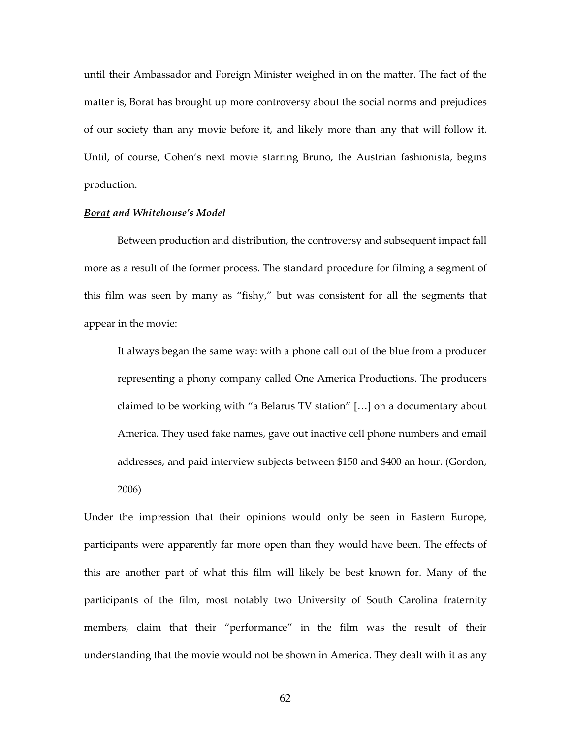until their Ambassador and Foreign Minister weighed in on the matter. The fact of the matter is, Borat has brought up more controversy about the social norms and prejudices of our society than any movie before it, and likely more than any that will follow it. Until, of course, Cohen's next movie starring Bruno, the Austrian fashionista, begins production.

## Borat and Whitehouse's Model

 Between production and distribution, the controversy and subsequent impact fall more as a result of the former process. The standard procedure for filming a segment of this film was seen by many as "fishy," but was consistent for all the segments that appear in the movie:

It always began the same way: with a phone call out of the blue from a producer representing a phony company called One America Productions. The producers claimed to be working with "a Belarus TV station" […] on a documentary about America. They used fake names, gave out inactive cell phone numbers and email addresses, and paid interview subjects between \$150 and \$400 an hour. (Gordon, 2006)

Under the impression that their opinions would only be seen in Eastern Europe, participants were apparently far more open than they would have been. The effects of this are another part of what this film will likely be best known for. Many of the participants of the film, most notably two University of South Carolina fraternity members, claim that their "performance" in the film was the result of their understanding that the movie would not be shown in America. They dealt with it as any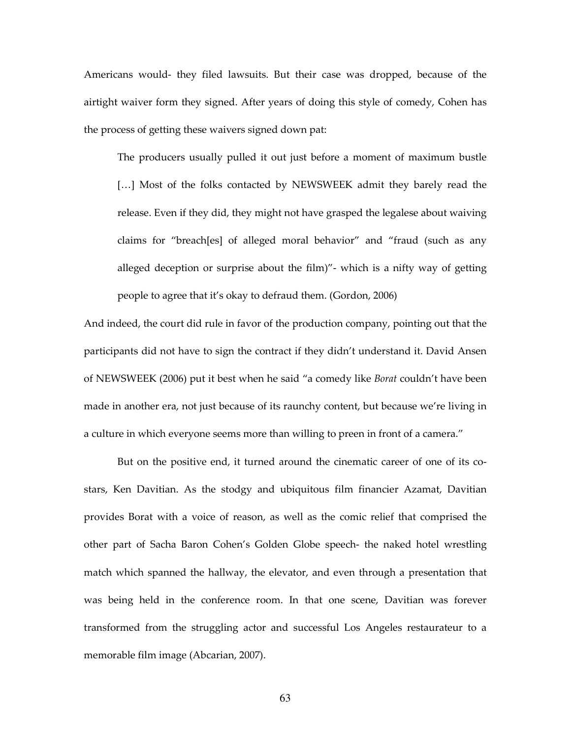Americans would- they filed lawsuits. But their case was dropped, because of the airtight waiver form they signed. After years of doing this style of comedy, Cohen has the process of getting these waivers signed down pat:

The producers usually pulled it out just before a moment of maximum bustle [...] Most of the folks contacted by NEWSWEEK admit they barely read the release. Even if they did, they might not have grasped the legalese about waiving claims for "breach[es] of alleged moral behavior" and "fraud (such as any alleged deception or surprise about the film)"- which is a nifty way of getting people to agree that it's okay to defraud them. (Gordon, 2006)

And indeed, the court did rule in favor of the production company, pointing out that the participants did not have to sign the contract if they didn't understand it. David Ansen of NEWSWEEK (2006) put it best when he said "a comedy like Borat couldn't have been made in another era, not just because of its raunchy content, but because we're living in a culture in which everyone seems more than willing to preen in front of a camera."

 But on the positive end, it turned around the cinematic career of one of its costars, Ken Davitian. As the stodgy and ubiquitous film financier Azamat, Davitian provides Borat with a voice of reason, as well as the comic relief that comprised the other part of Sacha Baron Cohen's Golden Globe speech- the naked hotel wrestling match which spanned the hallway, the elevator, and even through a presentation that was being held in the conference room. In that one scene, Davitian was forever transformed from the struggling actor and successful Los Angeles restaurateur to a memorable film image (Abcarian, 2007).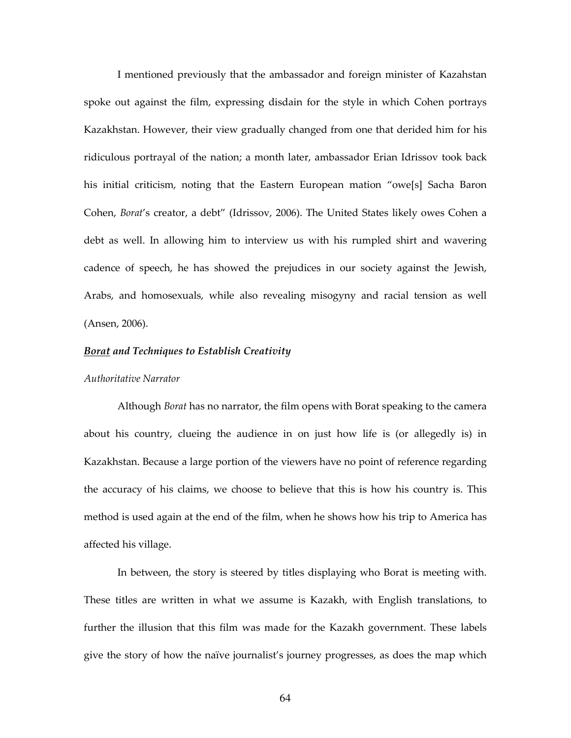I mentioned previously that the ambassador and foreign minister of Kazahstan spoke out against the film, expressing disdain for the style in which Cohen portrays Kazakhstan. However, their view gradually changed from one that derided him for his ridiculous portrayal of the nation; a month later, ambassador Erian Idrissov took back his initial criticism, noting that the Eastern European mation "owe[s] Sacha Baron Cohen, Borat's creator, a debt" (Idrissov, 2006). The United States likely owes Cohen a debt as well. In allowing him to interview us with his rumpled shirt and wavering cadence of speech, he has showed the prejudices in our society against the Jewish, Arabs, and homosexuals, while also revealing misogyny and racial tension as well (Ansen, 2006).

# Borat and Techniques to Establish Creativity

# Authoritative Narrator

Although *Borat* has no narrator, the film opens with Borat speaking to the camera about his country, clueing the audience in on just how life is (or allegedly is) in Kazakhstan. Because a large portion of the viewers have no point of reference regarding the accuracy of his claims, we choose to believe that this is how his country is. This method is used again at the end of the film, when he shows how his trip to America has affected his village.

 In between, the story is steered by titles displaying who Borat is meeting with. These titles are written in what we assume is Kazakh, with English translations, to further the illusion that this film was made for the Kazakh government. These labels give the story of how the naïve journalist's journey progresses, as does the map which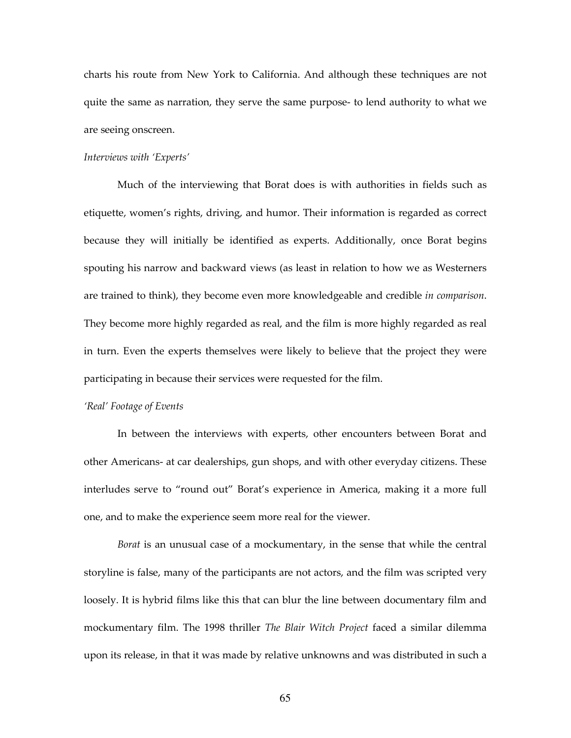charts his route from New York to California. And although these techniques are not quite the same as narration, they serve the same purpose- to lend authority to what we are seeing onscreen.

#### Interviews with 'Experts'

 Much of the interviewing that Borat does is with authorities in fields such as etiquette, women's rights, driving, and humor. Their information is regarded as correct because they will initially be identified as experts. Additionally, once Borat begins spouting his narrow and backward views (as least in relation to how we as Westerners are trained to think), they become even more knowledgeable and credible in comparison. They become more highly regarded as real, and the film is more highly regarded as real in turn. Even the experts themselves were likely to believe that the project they were participating in because their services were requested for the film.

## 'Real' Footage of Events

 In between the interviews with experts, other encounters between Borat and other Americans- at car dealerships, gun shops, and with other everyday citizens. These interludes serve to "round out" Borat's experience in America, making it a more full one, and to make the experience seem more real for the viewer.

Borat is an unusual case of a mockumentary, in the sense that while the central storyline is false, many of the participants are not actors, and the film was scripted very loosely. It is hybrid films like this that can blur the line between documentary film and mockumentary film. The 1998 thriller The Blair Witch Project faced a similar dilemma upon its release, in that it was made by relative unknowns and was distributed in such a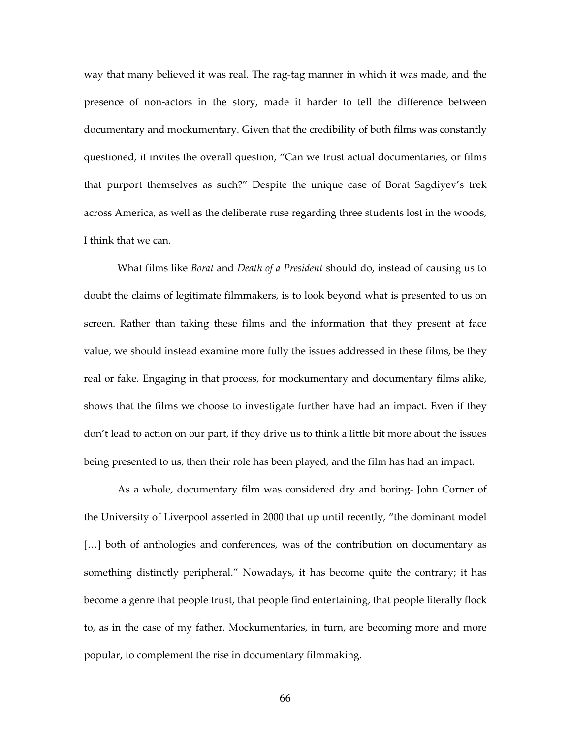way that many believed it was real. The rag-tag manner in which it was made, and the presence of non-actors in the story, made it harder to tell the difference between documentary and mockumentary. Given that the credibility of both films was constantly questioned, it invites the overall question, "Can we trust actual documentaries, or films that purport themselves as such?" Despite the unique case of Borat Sagdiyev's trek across America, as well as the deliberate ruse regarding three students lost in the woods, I think that we can.

What films like *Borat* and *Death of a President* should do, instead of causing us to doubt the claims of legitimate filmmakers, is to look beyond what is presented to us on screen. Rather than taking these films and the information that they present at face value, we should instead examine more fully the issues addressed in these films, be they real or fake. Engaging in that process, for mockumentary and documentary films alike, shows that the films we choose to investigate further have had an impact. Even if they don't lead to action on our part, if they drive us to think a little bit more about the issues being presented to us, then their role has been played, and the film has had an impact.

 As a whole, documentary film was considered dry and boring- John Corner of the University of Liverpool asserted in 2000 that up until recently, "the dominant model [...] both of anthologies and conferences, was of the contribution on documentary as something distinctly peripheral." Nowadays, it has become quite the contrary; it has become a genre that people trust, that people find entertaining, that people literally flock to, as in the case of my father. Mockumentaries, in turn, are becoming more and more popular, to complement the rise in documentary filmmaking.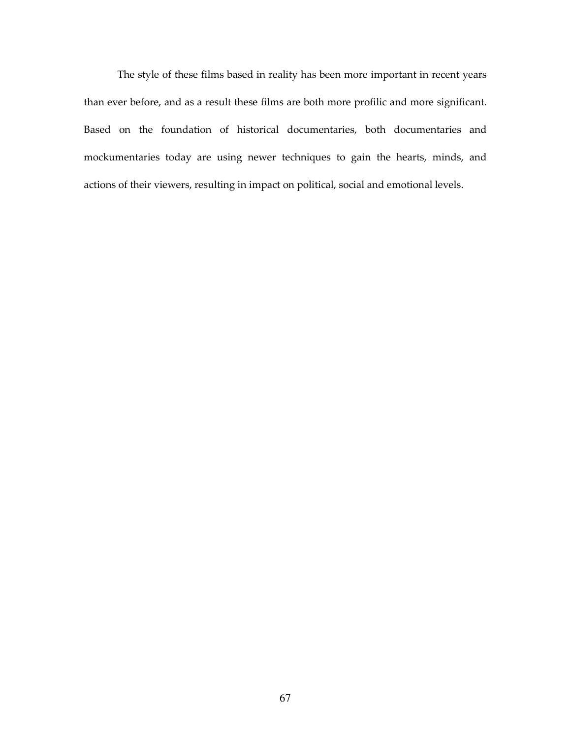The style of these films based in reality has been more important in recent years than ever before, and as a result these films are both more profilic and more significant. Based on the foundation of historical documentaries, both documentaries and mockumentaries today are using newer techniques to gain the hearts, minds, and actions of their viewers, resulting in impact on political, social and emotional levels.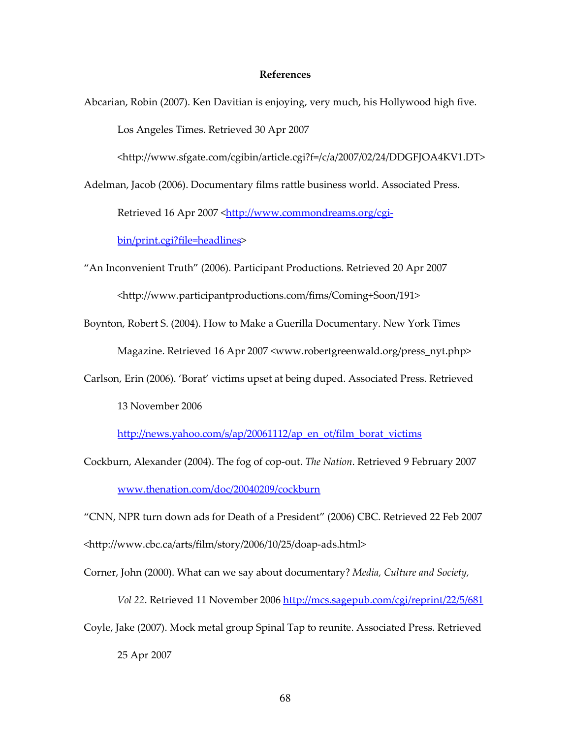#### References

Abcarian, Robin (2007). Ken Davitian is enjoying, very much, his Hollywood high five. Los Angeles Times. Retrieved 30 Apr 2007

<http://www.sfgate.com/cgibin/article.cgi?f=/c/a/2007/02/24/DDGFJOA4KV1.DT>

Adelman, Jacob (2006). Documentary films rattle business world. Associated Press.

Retrieved 16 Apr 2007 <http://www.commondreams.org/cgi-

bin/print.cgi?file=headlines>

"An Inconvenient Truth" (2006). Participant Productions. Retrieved 20 Apr 2007

<http://www.participantproductions.com/fims/Coming+Soon/191>

Boynton, Robert S. (2004). How to Make a Guerilla Documentary. New York Times Magazine. Retrieved 16 Apr 2007 <www.robertgreenwald.org/press\_nyt.php>

Carlson, Erin (2006). 'Borat' victims upset at being duped. Associated Press. Retrieved

13 November 2006

http://news.yahoo.com/s/ap/20061112/ap\_en\_ot/film\_borat\_victims

Cockburn, Alexander (2004). The fog of cop-out. The Nation. Retrieved 9 February 2007 www.thenation.com/doc/20040209/cockburn

"CNN, NPR turn down ads for Death of a President" (2006) CBC. Retrieved 22 Feb 2007

<http://www.cbc.ca/arts/film/story/2006/10/25/doap-ads.html>

Corner, John (2000). What can we say about documentary? Media, Culture and Society,

Vol 22. Retrieved 11 November 2006 http://mcs.sagepub.com/cgi/reprint/22/5/681

Coyle, Jake (2007). Mock metal group Spinal Tap to reunite. Associated Press. Retrieved 25 Apr 2007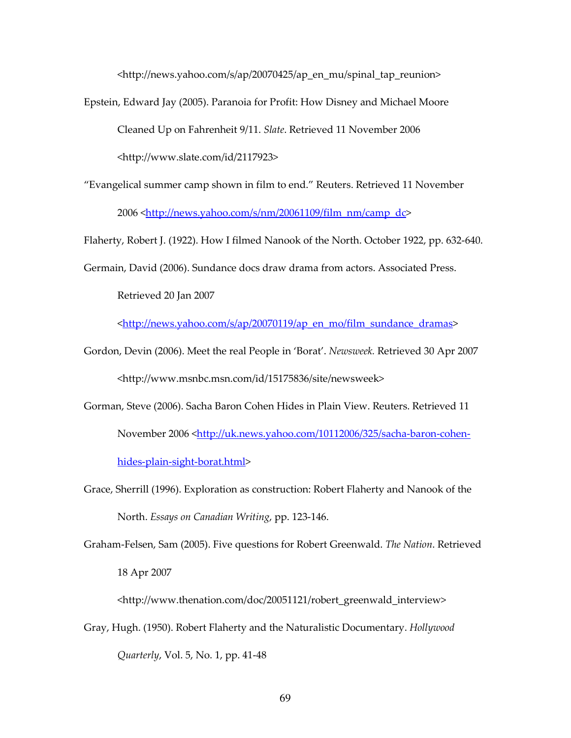<http://news.yahoo.com/s/ap/20070425/ap\_en\_mu/spinal\_tap\_reunion>

Epstein, Edward Jay (2005). Paranoia for Profit: How Disney and Michael Moore

Cleaned Up on Fahrenheit 9/11. Slate. Retrieved 11 November 2006

<http://www.slate.com/id/2117923>

"Evangelical summer camp shown in film to end." Reuters. Retrieved 11 November

2006 <http://news.yahoo.com/s/nm/20061109/film\_nm/camp\_dc>

Flaherty, Robert J. (1922). How I filmed Nanook of the North. October 1922, pp. 632-640.

Germain, David (2006). Sundance docs draw drama from actors. Associated Press.

Retrieved 20 Jan 2007

<http://news.yahoo.com/s/ap/20070119/ap\_en\_mo/film\_sundance\_dramas>

- Gordon, Devin (2006). Meet the real People in 'Borat'. Newsweek. Retrieved 30 Apr 2007 <http://www.msnbc.msn.com/id/15175836/site/newsweek>
- Gorman, Steve (2006). Sacha Baron Cohen Hides in Plain View. Reuters. Retrieved 11 November 2006 <http://uk.news.yahoo.com/10112006/325/sacha-baron-cohenhides-plain-sight-borat.html>

Grace, Sherrill (1996). Exploration as construction: Robert Flaherty and Nanook of the North. Essays on Canadian Writing, pp. 123-146.

Graham-Felsen, Sam (2005). Five questions for Robert Greenwald. The Nation. Retrieved 18 Apr 2007

<http://www.thenation.com/doc/20051121/robert\_greenwald\_interview>

Gray, Hugh. (1950). Robert Flaherty and the Naturalistic Documentary. Hollywood Quarterly, Vol. 5, No. 1, pp. 41-48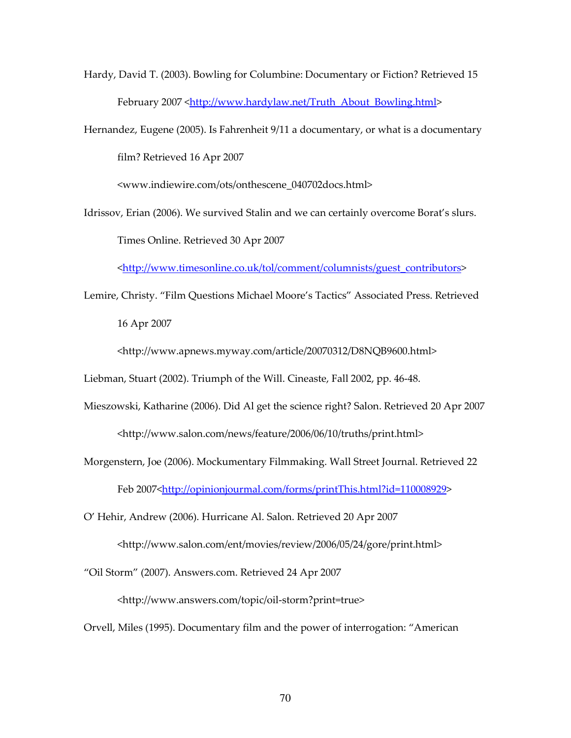Hardy, David T. (2003). Bowling for Columbine: Documentary or Fiction? Retrieved 15 February 2007 <http://www.hardylaw.net/Truth\_About\_Bowling.html>

Hernandez, Eugene (2005). Is Fahrenheit 9/11 a documentary, or what is a documentary film? Retrieved 16 Apr 2007

<www.indiewire.com/ots/onthescene\_040702docs.html>

Idrissov, Erian (2006). We survived Stalin and we can certainly overcome Borat's slurs. Times Online. Retrieved 30 Apr 2007

<http://www.timesonline.co.uk/tol/comment/columnists/guest\_contributors>

Lemire, Christy. "Film Questions Michael Moore's Tactics" Associated Press. Retrieved 16 Apr 2007

<http://www.apnews.myway.com/article/20070312/D8NQB9600.html>

Liebman, Stuart (2002). Triumph of the Will. Cineaste, Fall 2002, pp. 46-48.

- Mieszowski, Katharine (2006). Did Al get the science right? Salon. Retrieved 20 Apr 2007 <http://www.salon.com/news/feature/2006/06/10/truths/print.html>
- Morgenstern, Joe (2006). Mockumentary Filmmaking. Wall Street Journal. Retrieved 22 Feb 2007<http://opinionjourmal.com/forms/printThis.html?id=110008929>

O' Hehir, Andrew (2006). Hurricane Al. Salon. Retrieved 20 Apr 2007

<http://www.salon.com/ent/movies/review/2006/05/24/gore/print.html>

"Oil Storm" (2007). Answers.com. Retrieved 24 Apr 2007

<http://www.answers.com/topic/oil-storm?print=true>

Orvell, Miles (1995). Documentary film and the power of interrogation: "American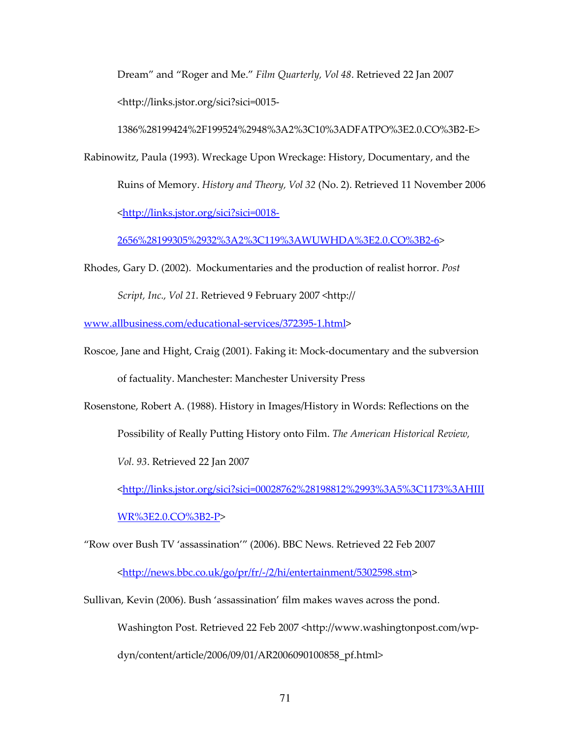Dream" and "Roger and Me." Film Quarterly, Vol 48. Retrieved 22 Jan 2007 <http://links.jstor.org/sici?sici=0015-

1386%28199424%2F199524%2948%3A2%3C10%3ADFATPO%3E2.0.CO%3B2-E>

Rabinowitz, Paula (1993). Wreckage Upon Wreckage: History, Documentary, and the Ruins of Memory. History and Theory, Vol 32 (No. 2). Retrieved 11 November 2006 <http://links.jstor.org/sici?sici=0018-

2656%28199305%2932%3A2%3C119%3AWUWHDA%3E2.0.CO%3B2-6>

Rhodes, Gary D. (2002). Mockumentaries and the production of realist horror. Post Script, Inc., Vol 21. Retrieved 9 February 2007 <http://

www.allbusiness.com/educational-services/372395-1.html>

Roscoe, Jane and Hight, Craig (2001). Faking it: Mock-documentary and the subversion of factuality. Manchester: Manchester University Press

Rosenstone, Robert A. (1988). History in Images/History in Words: Reflections on the Possibility of Really Putting History onto Film. The American Historical Review,

Vol. 93. Retrieved 22 Jan 2007

<http://links.jstor.org/sici?sici=00028762%28198812%2993%3A5%3C1173%3AHIII

WR%3E2.0.CO%3B2-P>

"Row over Bush TV 'assassination'" (2006). BBC News. Retrieved 22 Feb 2007

<http://news.bbc.co.uk/go/pr/fr/-/2/hi/entertainment/5302598.stm>

Sullivan, Kevin (2006). Bush 'assassination' film makes waves across the pond.

Washington Post. Retrieved 22 Feb 2007 <http://www.washingtonpost.com/wp-

dyn/content/article/2006/09/01/AR2006090100858\_pf.html>